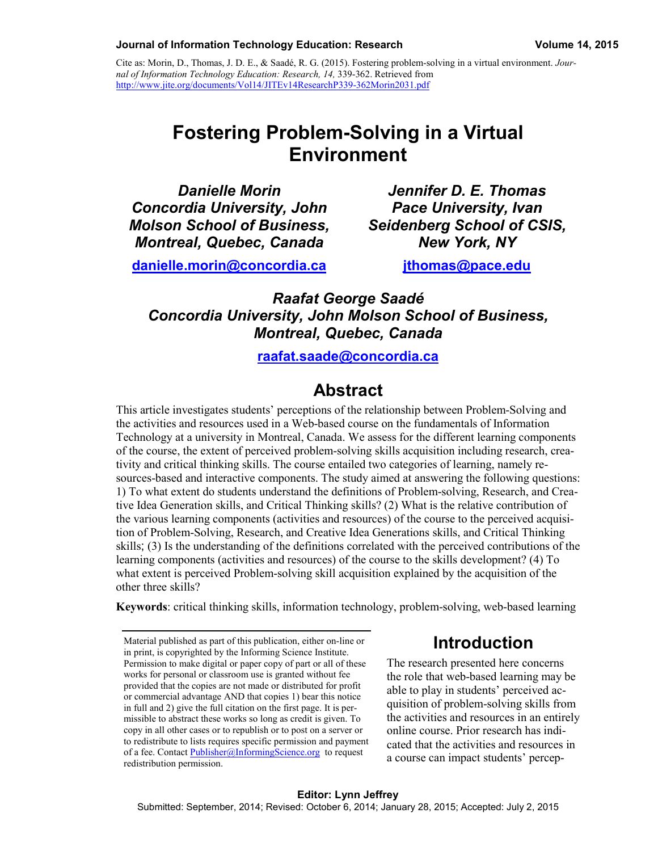#### **Journal of Information Technology Education: Research Volume 14, 2015**

Cite as: Morin, D., Thomas, J. D. E., & Saadé, R. G. (2015). Fostering problem-solving in a virtual environment. *Journal of Information Technology Education: Research, 14,* 339-362. Retrieved from <http://www.jite.org/documents/Vol14/JITEv14ResearchP339-362Morin2031.pdf>

# **Fostering Problem-Solving in a Virtual Environment**

*Danielle Morin Concordia University, John Molson School of Business, Montreal, Quebec, Canada*

*Jennifer D. E. Thomas Pace University, Ivan Seidenberg School of CSIS, New York, NY*

**[danielle.morin@concordia.ca](mailto:danielle.morin@concordia.ca)**

**[jthomas@pace.edu](mailto:jthomas@pace.edu)**

*Raafat George Saadé Concordia University, John Molson School of Business, Montreal, Quebec, Canada*

**[raafat.saade@concordia.ca](mailto:raafat.saade@concordia.ca)**

## **Abstract**

This article investigates students' perceptions of the relationship between Problem-Solving and the activities and resources used in a Web-based course on the fundamentals of Information Technology at a university in Montreal, Canada. We assess for the different learning components of the course, the extent of perceived problem-solving skills acquisition including research, creativity and critical thinking skills. The course entailed two categories of learning, namely resources-based and interactive components. The study aimed at answering the following questions: 1) To what extent do students understand the definitions of Problem-solving, Research, and Creative Idea Generation skills, and Critical Thinking skills? (2) What is the relative contribution of the various learning components (activities and resources) of the course to the perceived acquisition of Problem-Solving, Research, and Creative Idea Generations skills, and Critical Thinking skills; (3) Is the understanding of the definitions correlated with the perceived contributions of the learning components (activities and resources) of the course to the skills development? (4) To what extent is perceived Problem-solving skill acquisition explained by the acquisition of the other three skills?

**Keywords**: critical thinking skills, information technology, problem-solving, web-based learning

Material published as part of this publication, either on-line or in print, is copyrighted by the Informing Science Institute. Permission to make digital or paper copy of part or all of these works for personal or classroom use is granted without fee provided that the copies are not made or distributed for profit or commercial advantage AND that copies 1) bear this notice in full and 2) give the full citation on the first page. It is permissible to abstract these works so long as credit is given. To copy in all other cases or to republish or to post on a server or to redistribute to lists requires specific permission and payment of a fee. Contact [Publisher@InformingScience.org](mailto:Publisher@InformingScience.org) to request redistribution permission.

# **Introduction**

The research presented here concerns the role that web-based learning may be able to play in students' perceived acquisition of problem-solving skills from the activities and resources in an entirely online course. Prior research has indicated that the activities and resources in a course can impact students' percep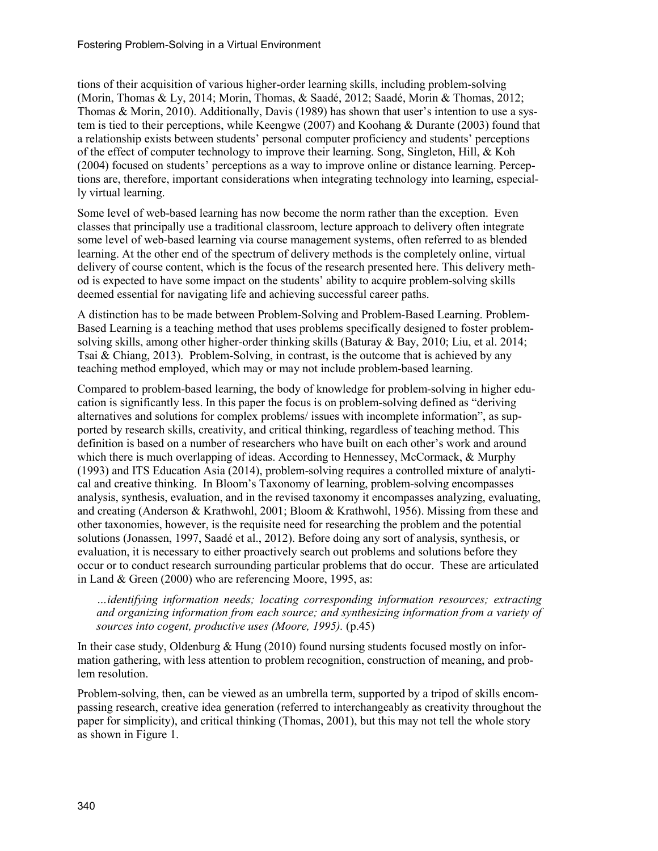tions of their acquisition of various higher-order learning skills, including problem-solving (Morin, Thomas & Ly, 2014; Morin, Thomas, & Saadé, 2012; Saadé, Morin & Thomas, 2012; Thomas & Morin, 2010). Additionally, Davis (1989) has shown that user's intention to use a system is tied to their perceptions, while Keengwe (2007) and Koohang & Durante (2003) found that a relationship exists between students' personal computer proficiency and students' perceptions of the effect of computer technology to improve their learning. Song, Singleton, Hill, & Koh (2004) focused on students' perceptions as a way to improve online or distance learning. Perceptions are, therefore, important considerations when integrating technology into learning, especially virtual learning.

Some level of web-based learning has now become the norm rather than the exception. Even classes that principally use a traditional classroom, lecture approach to delivery often integrate some level of web-based learning via course management systems, often referred to as blended learning. At the other end of the spectrum of delivery methods is the completely online, virtual delivery of course content, which is the focus of the research presented here. This delivery method is expected to have some impact on the students' ability to acquire problem-solving skills deemed essential for navigating life and achieving successful career paths.

A distinction has to be made between Problem-Solving and Problem-Based Learning. Problem-Based Learning is a teaching method that uses problems specifically designed to foster problemsolving skills, among other higher-order thinking skills (Baturay & Bay, 2010; Liu, et al. 2014; Tsai & Chiang, 2013). Problem-Solving, in contrast, is the outcome that is achieved by any teaching method employed, which may or may not include problem-based learning.

Compared to problem-based learning, the body of knowledge for problem-solving in higher education is significantly less. In this paper the focus is on problem-solving defined as "deriving alternatives and solutions for complex problems/ issues with incomplete information", as supported by research skills, creativity, and critical thinking, regardless of teaching method. This definition is based on a number of researchers who have built on each other's work and around which there is much overlapping of ideas. According to Hennessey, McCormack, & Murphy (1993) and ITS Education Asia (2014), problem-solving requires a controlled mixture of analytical and creative thinking. In Bloom's Taxonomy of learning, problem-solving encompasses analysis, synthesis, evaluation, and in the revised taxonomy it encompasses analyzing, evaluating, and creating (Anderson & Krathwohl, 2001; Bloom & Krathwohl, 1956). Missing from these and other taxonomies, however, is the requisite need for researching the problem and the potential solutions (Jonassen, 1997, Saadé et al., 2012). Before doing any sort of analysis, synthesis, or evaluation, it is necessary to either proactively search out problems and solutions before they occur or to conduct research surrounding particular problems that do occur. These are articulated in Land & Green (2000) who are referencing Moore, 1995, as:

*…identifying information needs; locating corresponding information resources; extracting and organizing information from each source; and synthesizing information from a variety of sources into cogent, productive uses (Moore, 1995).* (p.45)

In their case study, Oldenburg & Hung (2010) found nursing students focused mostly on information gathering, with less attention to problem recognition, construction of meaning, and problem resolution.

Problem-solving, then, can be viewed as an umbrella term, supported by a tripod of skills encompassing research, creative idea generation (referred to interchangeably as creativity throughout the paper for simplicity), and critical thinking (Thomas, 2001), but this may not tell the whole story as shown in Figure 1.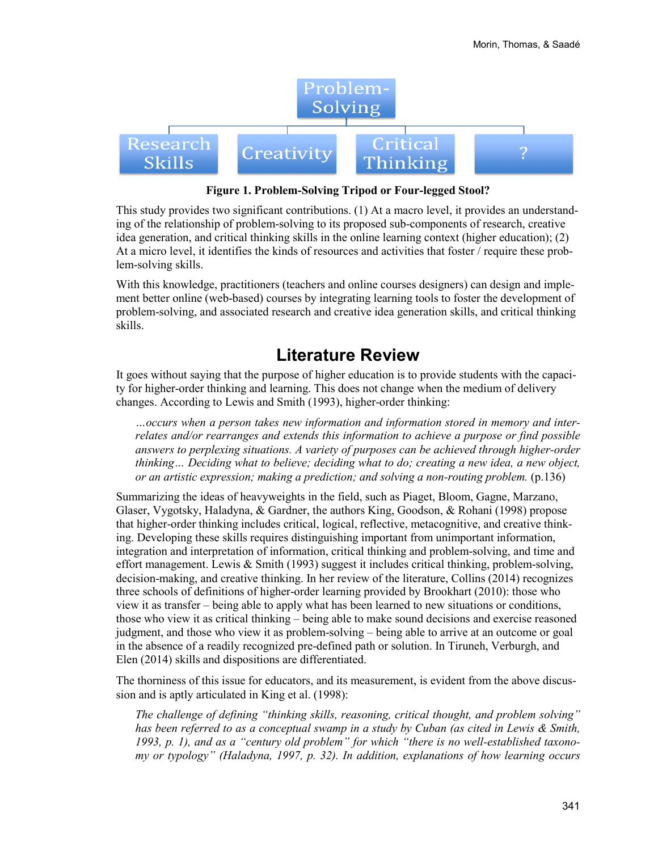

**Figure 1. Problem-Solving Tripod or Four-legged Stool?**

This study provides two significant contributions. (1) At a macro level, it provides an understanding of the relationship of problem-solving to its proposed sub-components of research, creative idea generation, and critical thinking skills in the online learning context (higher education); (2) At a micro level, it identifies the kinds of resources and activities that foster / require these problem-solving skills.

With this knowledge, practitioners (teachers and online courses designers) can design and implement better online (web-based) courses by integrating learning tools to foster the development of problem-solving, and associated research and creative idea generation skills, and critical thinking skills.

### **Literature Review**

It goes without saying that the purpose of higher education is to provide students with the capacity for higher-order thinking and learning. This does not change when the medium of delivery changes. According to Lewis and Smith (1993), higher-order thinking:

*…occurs when a person takes new information and information stored in memory and interrelates and/or rearranges and extends this information to achieve a purpose or find possible answers to perplexing situations. A variety of purposes can be achieved through higher-order thinking… Deciding what to believe; deciding what to do; creating a new idea, a new object, or an artistic expression; making a prediction; and solving a non-routing problem.* (p.136)

Summarizing the ideas of heavyweights in the field, such as Piaget, Bloom, Gagne, Marzano, Glaser, Vygotsky, Haladyna, & Gardner, the authors King, Goodson, & Rohani (1998) propose that higher-order thinking includes critical, logical, reflective, metacognitive, and creative thinking. Developing these skills requires distinguishing important from unimportant information, integration and interpretation of information, critical thinking and problem-solving, and time and effort management. Lewis & Smith (1993) suggest it includes critical thinking, problem-solving, decision-making, and creative thinking. In her review of the literature, Collins (2014) recognizes three schools of definitions of higher-order learning provided by Brookhart (2010): those who view it as transfer – being able to apply what has been learned to new situations or conditions, those who view it as critical thinking – being able to make sound decisions and exercise reasoned judgment, and those who view it as problem-solving – being able to arrive at an outcome or goal in the absence of a readily recognized pre-defined path or solution. In Tiruneh, Verburgh, and Elen (2014) skills and dispositions are differentiated.

The thorniness of this issue for educators, and its measurement, is evident from the above discussion and is aptly articulated in King et al. (1998):

*The challenge of defining "thinking skills, reasoning, critical thought, and problem solving" has been referred to as a conceptual swamp in a study by Cuban (as cited in Lewis & Smith, 1993, p. 1), and as a "century old problem" for which "there is no well-established taxonomy or typology" (Haladyna, 1997, p. 32). In addition, explanations of how learning occurs*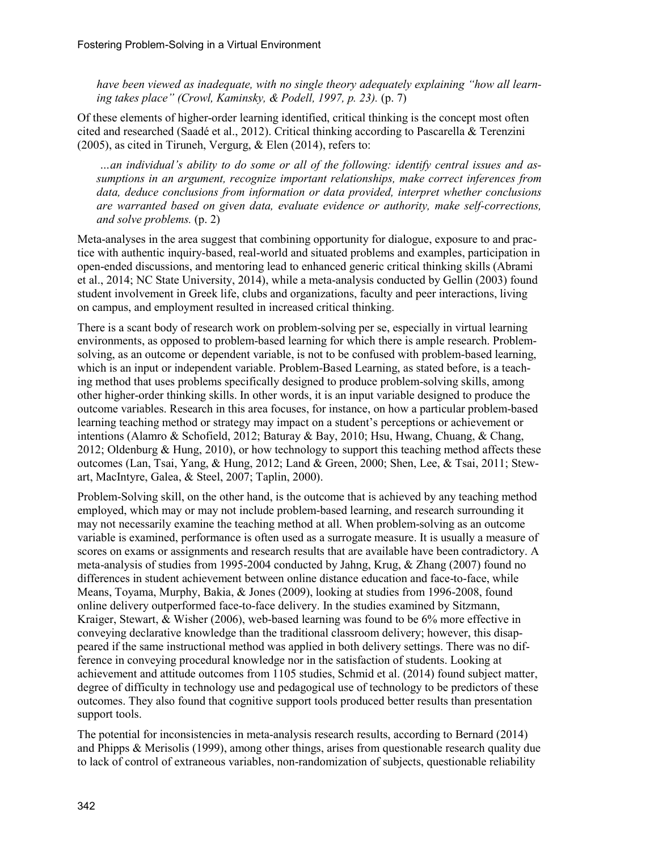*have been viewed as inadequate, with no single theory adequately explaining "how all learning takes place" (Crowl, Kaminsky, & Podell, 1997, p. 23).* (p. 7)

Of these elements of higher-order learning identified, critical thinking is the concept most often cited and researched (Saadé et al., 2012). Critical thinking according to Pascarella & Terenzini (2005), as cited in Tiruneh, Vergurg, & Elen (2014), refers to:

*…an individual's ability to do some or all of the following: identify central issues and assumptions in an argument, recognize important relationships, make correct inferences from data, deduce conclusions from information or data provided, interpret whether conclusions are warranted based on given data, evaluate evidence or authority, make self-corrections, and solve problems.* (p. 2)

Meta-analyses in the area suggest that combining opportunity for dialogue, exposure to and practice with authentic inquiry-based, real-world and situated problems and examples, participation in open-ended discussions, and mentoring lead to enhanced generic critical thinking skills (Abrami et al., 2014; NC State University, 2014), while a meta-analysis conducted by Gellin (2003) found student involvement in Greek life, clubs and organizations, faculty and peer interactions, living on campus, and employment resulted in increased critical thinking.

There is a scant body of research work on problem-solving per se, especially in virtual learning environments, as opposed to problem-based learning for which there is ample research. Problemsolving, as an outcome or dependent variable, is not to be confused with problem-based learning, which is an input or independent variable. Problem-Based Learning, as stated before, is a teaching method that uses problems specifically designed to produce problem-solving skills, among other higher-order thinking skills. In other words, it is an input variable designed to produce the outcome variables. Research in this area focuses, for instance, on how a particular problem-based learning teaching method or strategy may impact on a student's perceptions or achievement or intentions (Alamro & Schofield, 2012; Baturay & Bay, 2010; Hsu, Hwang, Chuang, & Chang, 2012; Oldenburg & Hung, 2010), or how technology to support this teaching method affects these outcomes (Lan, Tsai, Yang, & Hung, 2012; Land & Green, 2000; Shen, Lee, & Tsai, 2011; Stewart, MacIntyre, Galea, & Steel, 2007; Taplin, 2000).

Problem-Solving skill, on the other hand, is the outcome that is achieved by any teaching method employed, which may or may not include problem-based learning, and research surrounding it may not necessarily examine the teaching method at all. When problem-solving as an outcome variable is examined, performance is often used as a surrogate measure. It is usually a measure of scores on exams or assignments and research results that are available have been contradictory. A meta-analysis of studies from 1995-2004 conducted by Jahng, Krug, & Zhang (2007) found no differences in student achievement between online distance education and face-to-face, while Means, Toyama, Murphy, Bakia, & Jones (2009), looking at studies from 1996-2008, found online delivery outperformed face-to-face delivery. In the studies examined by Sitzmann, Kraiger, Stewart, & Wisher (2006), web-based learning was found to be 6% more effective in conveying declarative knowledge than the traditional classroom delivery; however, this disappeared if the same instructional method was applied in both delivery settings. There was no difference in conveying procedural knowledge nor in the satisfaction of students. Looking at achievement and attitude outcomes from 1105 studies, Schmid et al. (2014) found subject matter, degree of difficulty in technology use and pedagogical use of technology to be predictors of these outcomes. They also found that cognitive support tools produced better results than presentation support tools.

The potential for inconsistencies in meta-analysis research results, according to Bernard (2014) and Phipps & Merisolis (1999), among other things, arises from questionable research quality due to lack of control of extraneous variables, non-randomization of subjects, questionable reliability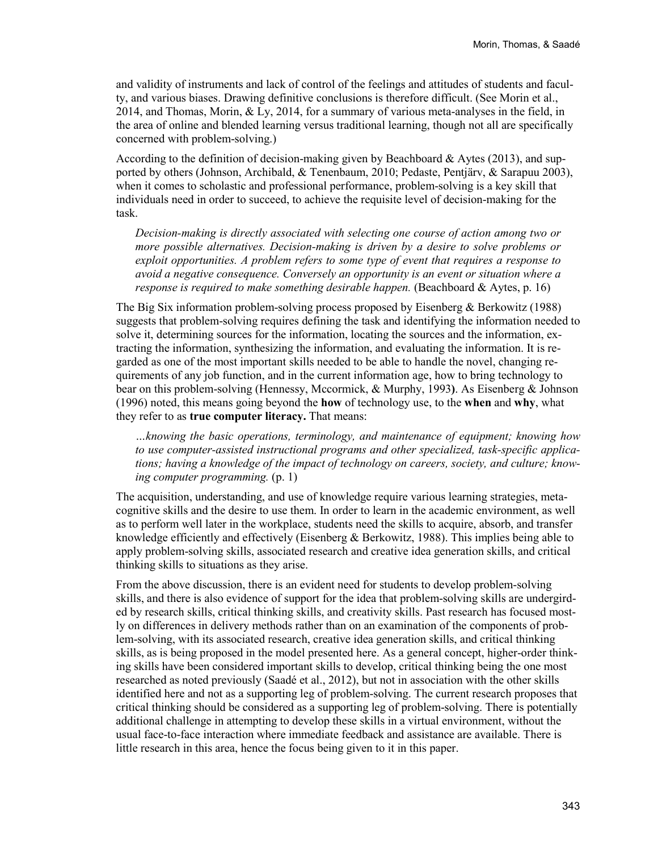and validity of instruments and lack of control of the feelings and attitudes of students and faculty, and various biases. Drawing definitive conclusions is therefore difficult. (See Morin et al., 2014, and Thomas, Morin, & Ly, 2014, for a summary of various meta-analyses in the field, in the area of online and blended learning versus traditional learning, though not all are specifically concerned with problem-solving.)

According to the definition of decision-making given by Beachboard & Aytes (2013), and supported by others (Johnson, Archibald, & Tenenbaum, 2010; Pedaste, Pentjärv, & Sarapuu 2003), when it comes to scholastic and professional performance, problem-solving is a key skill that individuals need in order to succeed, to achieve the requisite level of decision-making for the task.

*Decision-making is directly associated with selecting one course of action among two or more possible alternatives. Decision-making is driven by a desire to solve problems or exploit opportunities. A problem refers to some type of event that requires a response to avoid a negative consequence. Conversely an opportunity is an event or situation where a response is required to make something desirable happen.* (Beachboard & Aytes, p. 16)

The Big Six information problem-solving process proposed by Eisenberg & Berkowitz (1988) suggests that problem-solving requires defining the task and identifying the information needed to solve it, determining sources for the information, locating the sources and the information, extracting the information, synthesizing the information, and evaluating the information. It is regarded as one of the most important skills needed to be able to handle the novel, changing requirements of any job function, and in the current information age, how to bring technology to bear on this problem-solving (Hennessy, Mccormick, & Murphy, 1993**)**. As Eisenberg & Johnson (1996) noted, this means going beyond the **how** of technology use, to the **when** and **why**, what they refer to as **true computer literacy.** That means:

*…knowing the basic operations, terminology, and maintenance of equipment; knowing how to use computer-assisted instructional programs and other specialized, task-specific applications; having a knowledge of the impact of technology on careers, society, and culture; knowing computer programming.* (p. 1)

The acquisition, understanding, and use of knowledge require various learning strategies, metacognitive skills and the desire to use them. In order to learn in the academic environment, as well as to perform well later in the workplace, students need the skills to acquire, absorb, and transfer knowledge efficiently and effectively (Eisenberg & Berkowitz, 1988). This implies being able to apply problem-solving skills, associated research and creative idea generation skills, and critical thinking skills to situations as they arise.

From the above discussion, there is an evident need for students to develop problem-solving skills, and there is also evidence of support for the idea that problem-solving skills are undergirded by research skills, critical thinking skills, and creativity skills. Past research has focused mostly on differences in delivery methods rather than on an examination of the components of problem-solving, with its associated research, creative idea generation skills, and critical thinking skills, as is being proposed in the model presented here. As a general concept, higher-order thinking skills have been considered important skills to develop, critical thinking being the one most researched as noted previously (Saadé et al., 2012), but not in association with the other skills identified here and not as a supporting leg of problem-solving. The current research proposes that critical thinking should be considered as a supporting leg of problem-solving. There is potentially additional challenge in attempting to develop these skills in a virtual environment, without the usual face-to-face interaction where immediate feedback and assistance are available. There is little research in this area, hence the focus being given to it in this paper.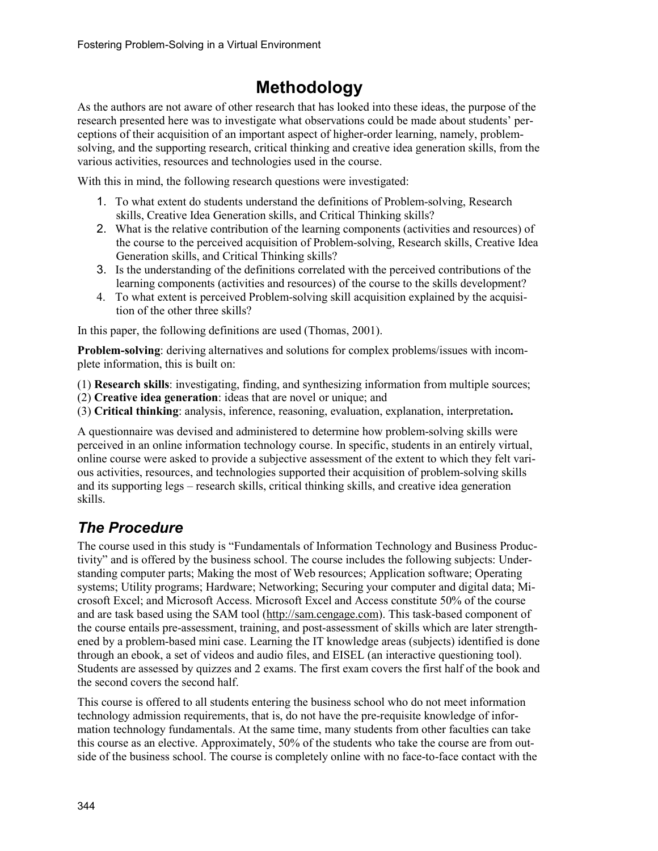# **Methodology**

As the authors are not aware of other research that has looked into these ideas, the purpose of the research presented here was to investigate what observations could be made about students' perceptions of their acquisition of an important aspect of higher-order learning, namely, problemsolving, and the supporting research, critical thinking and creative idea generation skills, from the various activities, resources and technologies used in the course.

With this in mind, the following research questions were investigated:

- 1. To what extent do students understand the definitions of Problem-solving, Research skills, Creative Idea Generation skills, and Critical Thinking skills?
- 2. What is the relative contribution of the learning components (activities and resources) of the course to the perceived acquisition of Problem-solving, Research skills, Creative Idea Generation skills, and Critical Thinking skills?
- 3. Is the understanding of the definitions correlated with the perceived contributions of the learning components (activities and resources) of the course to the skills development?
- 4. To what extent is perceived Problem-solving skill acquisition explained by the acquisition of the other three skills?

In this paper, the following definitions are used (Thomas, 2001).

**Problem-solving**: deriving alternatives and solutions for complex problems/issues with incomplete information, this is built on:

(1) **Research skills**: investigating, finding, and synthesizing information from multiple sources;

(2) **Creative idea generation**: ideas that are novel or unique; and

(3) **Critical thinking**: analysis, inference, reasoning, evaluation, explanation, interpretation**.**

A questionnaire was devised and administered to determine how problem-solving skills were perceived in an online information technology course. In specific, students in an entirely virtual, online course were asked to provide a subjective assessment of the extent to which they felt various activities, resources, and technologies supported their acquisition of problem-solving skills and its supporting legs – research skills, critical thinking skills, and creative idea generation skills.

## *The Procedure*

The course used in this study is "Fundamentals of Information Technology and Business Productivity" and is offered by the business school. The course includes the following subjects: Understanding computer parts; Making the most of Web resources; Application software; Operating systems; Utility programs; Hardware; Networking; Securing your computer and digital data; Microsoft Excel; and Microsoft Access. Microsoft Excel and Access constitute 50% of the course and are task based using the SAM tool [\(http://sam.cengage.com\)](http://sam.cengage.com/). This task-based component of the course entails pre-assessment, training, and post-assessment of skills which are later strengthened by a problem-based mini case. Learning the IT knowledge areas (subjects) identified is done through an ebook, a set of videos and audio files, and EISEL (an interactive questioning tool). Students are assessed by quizzes and 2 exams. The first exam covers the first half of the book and the second covers the second half.

This course is offered to all students entering the business school who do not meet information technology admission requirements, that is, do not have the pre-requisite knowledge of information technology fundamentals. At the same time, many students from other faculties can take this course as an elective. Approximately, 50% of the students who take the course are from outside of the business school. The course is completely online with no face-to-face contact with the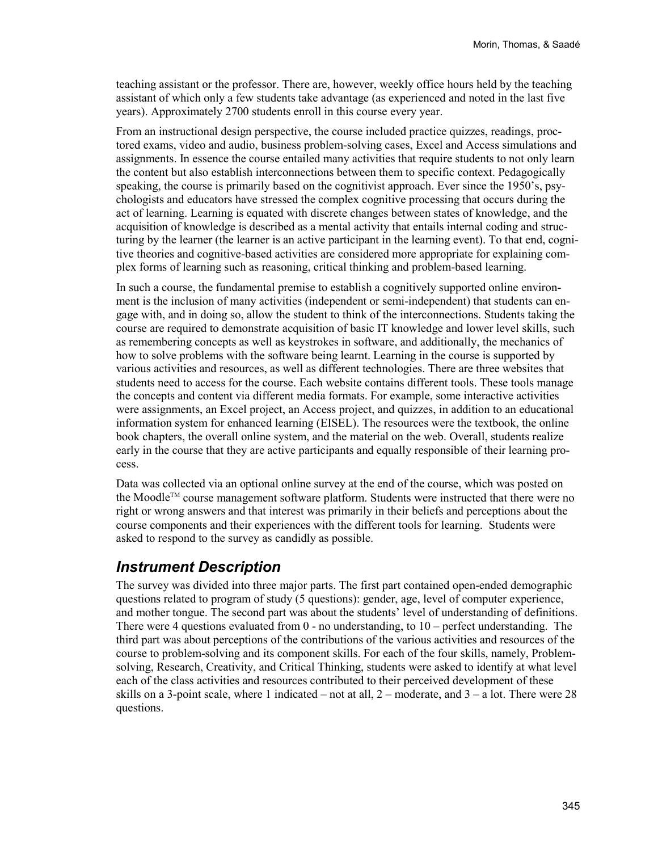teaching assistant or the professor. There are, however, weekly office hours held by the teaching assistant of which only a few students take advantage (as experienced and noted in the last five years). Approximately 2700 students enroll in this course every year.

From an instructional design perspective, the course included practice quizzes, readings, proctored exams, video and audio, business problem-solving cases, Excel and Access simulations and assignments. In essence the course entailed many activities that require students to not only learn the content but also establish interconnections between them to specific context. Pedagogically speaking, the course is primarily based on the cognitivist approach. Ever since the 1950's, psychologists and educators have stressed the complex cognitive processing that occurs during the act of learning. Learning is equated with discrete changes between states of knowledge, and the acquisition of knowledge is described as a mental activity that entails internal coding and structuring by the learner (the learner is an active participant in the learning event). To that end, cognitive theories and cognitive-based activities are considered more appropriate for explaining complex forms of learning such as reasoning, critical thinking and problem-based learning.

In such a course, the fundamental premise to establish a cognitively supported online environment is the inclusion of many activities (independent or semi-independent) that students can engage with, and in doing so, allow the student to think of the interconnections. Students taking the course are required to demonstrate acquisition of basic IT knowledge and lower level skills, such as remembering concepts as well as keystrokes in software, and additionally, the mechanics of how to solve problems with the software being learnt. Learning in the course is supported by various activities and resources, as well as different technologies. There are three websites that students need to access for the course. Each website contains different tools. These tools manage the concepts and content via different media formats. For example, some interactive activities were assignments, an Excel project, an Access project, and quizzes, in addition to an educational information system for enhanced learning (EISEL). The resources were the textbook, the online book chapters, the overall online system, and the material on the web. Overall, students realize early in the course that they are active participants and equally responsible of their learning process.

Data was collected via an optional online survey at the end of the course, which was posted on the Moodle™ course management software platform. Students were instructed that there were no right or wrong answers and that interest was primarily in their beliefs and perceptions about the course components and their experiences with the different tools for learning. Students were asked to respond to the survey as candidly as possible.

### *Instrument Description*

The survey was divided into three major parts. The first part contained open-ended demographic questions related to program of study (5 questions): gender, age, level of computer experience, and mother tongue. The second part was about the students' level of understanding of definitions. There were 4 questions evaluated from  $0 -$  no understanding, to  $10 -$  perfect understanding. The third part was about perceptions of the contributions of the various activities and resources of the course to problem-solving and its component skills. For each of the four skills, namely, Problemsolving, Research, Creativity, and Critical Thinking, students were asked to identify at what level each of the class activities and resources contributed to their perceived development of these skills on a 3-point scale, where 1 indicated – not at all,  $2$  – moderate, and  $3$  – a lot. There were 28 questions.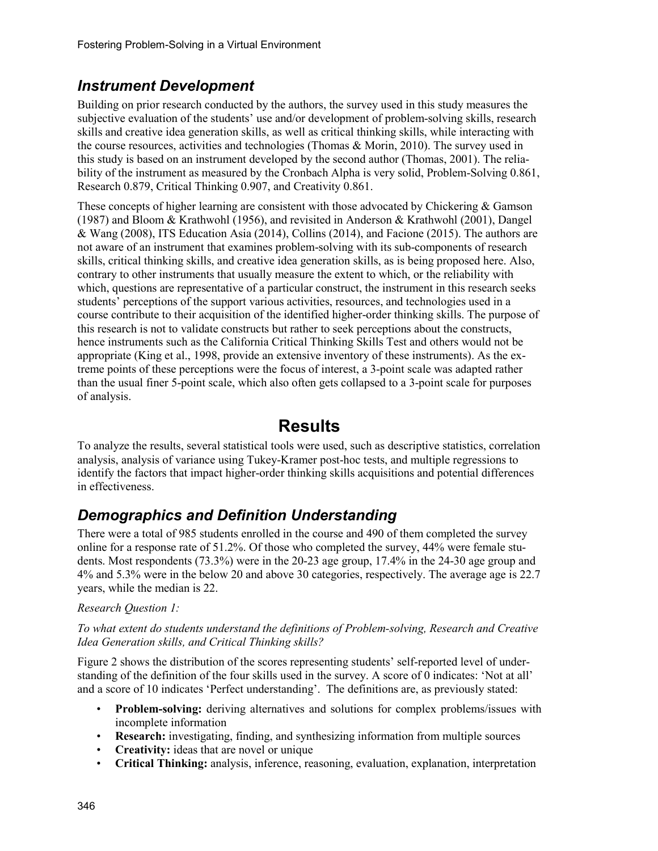### *Instrument Development*

Building on prior research conducted by the authors, the survey used in this study measures the subjective evaluation of the students' use and/or development of problem-solving skills, research skills and creative idea generation skills, as well as critical thinking skills, while interacting with the course resources, activities and technologies (Thomas & Morin, 2010). The survey used in this study is based on an instrument developed by the second author (Thomas, 2001). The reliability of the instrument as measured by the Cronbach Alpha is very solid, Problem-Solving 0.861, Research 0.879, Critical Thinking 0.907, and Creativity 0.861.

These concepts of higher learning are consistent with those advocated by Chickering & Gamson (1987) and Bloom & Krathwohl (1956), and revisited in Anderson & Krathwohl (2001), Dangel & Wang (2008), ITS Education Asia (2014), Collins (2014), and Facione (2015). The authors are not aware of an instrument that examines problem-solving with its sub-components of research skills, critical thinking skills, and creative idea generation skills, as is being proposed here. Also, contrary to other instruments that usually measure the extent to which, or the reliability with which, questions are representative of a particular construct, the instrument in this research seeks students' perceptions of the support various activities, resources, and technologies used in a course contribute to their acquisition of the identified higher-order thinking skills. The purpose of this research is not to validate constructs but rather to seek perceptions about the constructs, hence instruments such as the California Critical Thinking Skills Test and others would not be appropriate (King et al., 1998, provide an extensive inventory of these instruments). As the extreme points of these perceptions were the focus of interest, a 3-point scale was adapted rather than the usual finer 5-point scale, which also often gets collapsed to a 3-point scale for purposes of analysis.

## **Results**

To analyze the results, several statistical tools were used, such as descriptive statistics, correlation analysis, analysis of variance using Tukey-Kramer post-hoc tests, and multiple regressions to identify the factors that impact higher-order thinking skills acquisitions and potential differences in effectiveness.

## *Demographics and Definition Understanding*

There were a total of 985 students enrolled in the course and 490 of them completed the survey online for a response rate of 51.2%. Of those who completed the survey, 44% were female students. Most respondents (73.3%) were in the 20-23 age group, 17.4% in the 24-30 age group and 4% and 5.3% were in the below 20 and above 30 categories, respectively. The average age is 22.7 years, while the median is 22.

### *Research Question 1:*

#### *To what extent do students understand the definitions of Problem-solving, Research and Creative Idea Generation skills, and Critical Thinking skills?*

Figure 2 shows the distribution of the scores representing students' self-reported level of understanding of the definition of the four skills used in the survey. A score of 0 indicates: 'Not at all' and a score of 10 indicates 'Perfect understanding'. The definitions are, as previously stated:

- **Problem-solving:** deriving alternatives and solutions for complex problems/issues with incomplete information
- **Research:** investigating, finding, and synthesizing information from multiple sources
- **Creativity:** ideas that are novel or unique
- **Critical Thinking:** analysis, inference, reasoning, evaluation, explanation, interpretation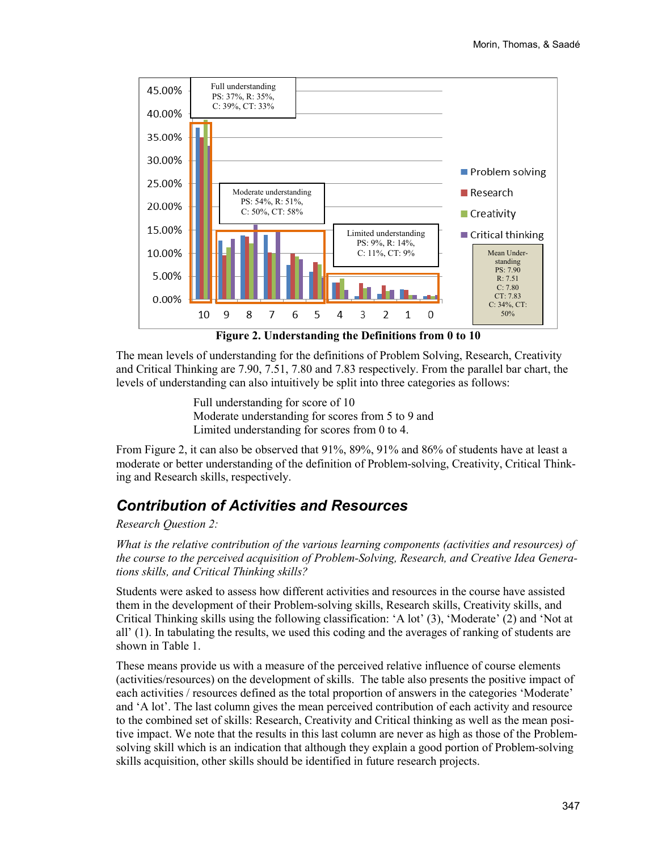

The mean levels of understanding for the definitions of Problem Solving, Research, Creativity and Critical Thinking are 7.90, 7.51, 7.80 and 7.83 respectively. From the parallel bar chart, the levels of understanding can also intuitively be split into three categories as follows:

> Full understanding for score of 10 Moderate understanding for scores from 5 to 9 and Limited understanding for scores from 0 to 4.

From Figure 2, it can also be observed that 91%, 89%, 91% and 86% of students have at least a moderate or better understanding of the definition of Problem-solving, Creativity, Critical Thinking and Research skills, respectively.

### *Contribution of Activities and Resources*

*Research Question 2:* 

*What is the relative contribution of the various learning components (activities and resources) of the course to the perceived acquisition of Problem-Solving, Research, and Creative Idea Generations skills, and Critical Thinking skills?*

Students were asked to assess how different activities and resources in the course have assisted them in the development of their Problem-solving skills, Research skills, Creativity skills, and Critical Thinking skills using the following classification: 'A lot' (3), 'Moderate' (2) and 'Not at all' (1). In tabulating the results, we used this coding and the averages of ranking of students are shown in Table 1.

These means provide us with a measure of the perceived relative influence of course elements (activities/resources) on the development of skills. The table also presents the positive impact of each activities / resources defined as the total proportion of answers in the categories 'Moderate' and 'A lot'. The last column gives the mean perceived contribution of each activity and resource to the combined set of skills: Research, Creativity and Critical thinking as well as the mean positive impact. We note that the results in this last column are never as high as those of the Problemsolving skill which is an indication that although they explain a good portion of Problem-solving skills acquisition, other skills should be identified in future research projects.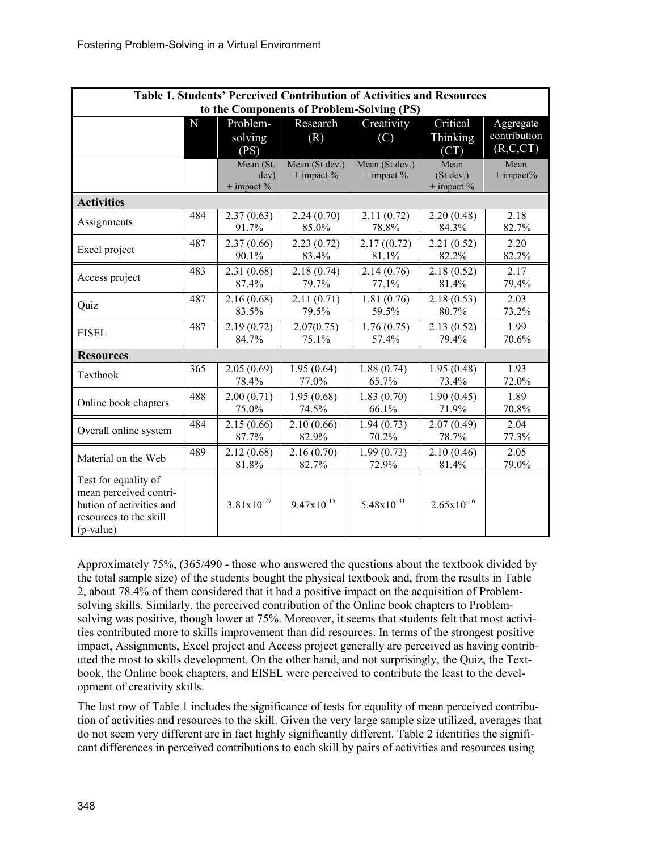| Table 1. Students' Perceived Contribution of Activities and Resources |     |                 |                 |                        |                 |              |  |  |
|-----------------------------------------------------------------------|-----|-----------------|-----------------|------------------------|-----------------|--------------|--|--|
| to the Components of Problem-Solving (PS)                             |     |                 |                 |                        |                 |              |  |  |
|                                                                       | N   | Problem-        | Research        | Creativity             | Critical        | Aggregate    |  |  |
|                                                                       |     | solving         | (R)             | (C)                    | Thinking        | contribution |  |  |
|                                                                       |     | (PS)            |                 |                        | (CT)            | (R, C, CT)   |  |  |
|                                                                       |     | Mean (St.       | Mean (St.dev.)  | Mean (St.dev.)         | Mean            | Mean         |  |  |
|                                                                       |     | dev)            | $+$ impact $%$  | $+$ impact $%$         | (St. dev.)      | $+$ impact%  |  |  |
|                                                                       |     | $+$ impact $%$  |                 |                        | $+$ impact $%$  |              |  |  |
| <b>Activities</b>                                                     |     |                 |                 |                        |                 |              |  |  |
| Assignments                                                           | 484 | 2.37(0.63)      | 2.24(0.70)      | 2.11(0.72)             | 2.20(0.48)      | 2.18         |  |  |
|                                                                       |     | 91.7%           | 85.0%           | 78.8%                  | 84.3%           | 82.7%        |  |  |
|                                                                       | 487 | 2.37(0.66)      | 2.23(0.72)      | 2.17(0.72)             | 2.21(0.52)      | 2.20         |  |  |
| Excel project                                                         |     | 90.1%           | 83.4%           | 81.1%                  | 82.2%           | 82.2%        |  |  |
|                                                                       | 483 | 2.31(0.68)      | 2.18(0.74)      | 2.14(0.76)             | 2.18(0.52)      | 2.17         |  |  |
| Access project                                                        |     | 87.4%           | 79.7%           | 77.1%                  | 81.4%           | 79.4%        |  |  |
|                                                                       | 487 | 2.16(0.68)      | 2.11(0.71)      | 1.81(0.76)             | 2.18(0.53)      | 2.03         |  |  |
| Quiz                                                                  |     | 83.5%           | 79.5%           | 59.5%                  | 80.7%           | 73.2%        |  |  |
|                                                                       | 487 | 2.19(0.72)      | 2.07(0.75)      | 1.76(0.75)             | 2.13(0.52)      | 1.99         |  |  |
| <b>EISEL</b>                                                          |     | 84.7%           | 75.1%           | 57.4%                  | 79.4%           | 70.6%        |  |  |
| <b>Resources</b>                                                      |     |                 |                 |                        |                 |              |  |  |
| Textbook                                                              | 365 | 2.05(0.69)      | 1.95(0.64)      | 1.88(0.74)             | 1.95(0.48)      | 1.93         |  |  |
|                                                                       |     | 78.4%           | 77.0%           | 65.7%                  | 73.4%           | 72.0%        |  |  |
|                                                                       | 488 | 2.00(0.71)      | 1.95(0.68)      | 1.83(0.70)             | 1.90(0.45)      | 1.89         |  |  |
| Online book chapters                                                  |     | 75.0%           | 74.5%           | 66.1%                  | 71.9%           | 70.8%        |  |  |
|                                                                       | 484 | 2.15(0.66)      | 2.10(0.66)      | 1.94(0.73)             | 2.07(0.49)      | 2.04         |  |  |
| Overall online system                                                 |     | 87.7%           | 82.9%           | 70.2%                  | 78.7%           | 77.3%        |  |  |
|                                                                       | 489 | 2.12(0.68)      | 2.16(0.70)      | 1.99(0.73)             | 2.10(0.46)      | 2.05         |  |  |
| Material on the Web                                                   |     | 81.8%           | 82.7%           | 72.9%                  | 81.4%           | 79.0%        |  |  |
| Test for equality of                                                  |     |                 |                 |                        |                 |              |  |  |
| mean perceived contri-                                                |     |                 |                 |                        |                 |              |  |  |
| bution of activities and                                              |     | $3.81x10^{-27}$ | $9.47x10^{-15}$ | $5.48 \times 10^{-31}$ | $2.65x10^{-16}$ |              |  |  |
| resources to the skill                                                |     |                 |                 |                        |                 |              |  |  |
| (p-value)                                                             |     |                 |                 |                        |                 |              |  |  |

Approximately 75%, (365/490 - those who answered the questions about the textbook divided by the total sample size) of the students bought the physical textbook and, from the results in Table 2, about 78.4% of them considered that it had a positive impact on the acquisition of Problemsolving skills. Similarly, the perceived contribution of the Online book chapters to Problemsolving was positive, though lower at 75%. Moreover, it seems that students felt that most activities contributed more to skills improvement than did resources. In terms of the strongest positive impact, Assignments, Excel project and Access project generally are perceived as having contributed the most to skills development. On the other hand, and not surprisingly, the Quiz, the Textbook, the Online book chapters, and EISEL were perceived to contribute the least to the development of creativity skills.

The last row of Table 1 includes the significance of tests for equality of mean perceived contribution of activities and resources to the skill. Given the very large sample size utilized, averages that do not seem very different are in fact highly significantly different. Table 2 identifies the significant differences in perceived contributions to each skill by pairs of activities and resources using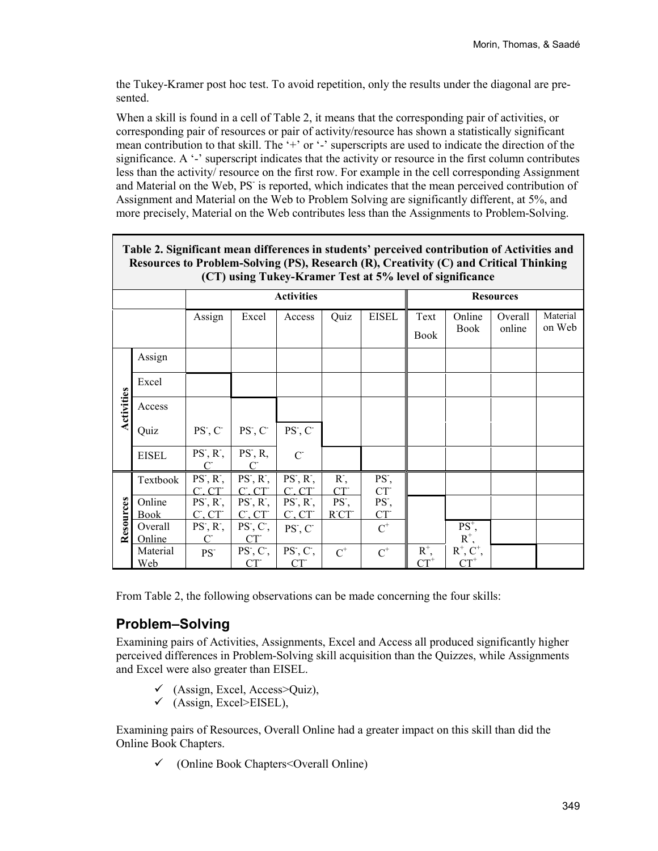the Tukey-Kramer post hoc test. To avoid repetition, only the results under the diagonal are presented.

When a skill is found in a cell of Table 2, it means that the corresponding pair of activities, or corresponding pair of resources or pair of activity/resource has shown a statistically significant mean contribution to that skill. The '+' or '-' superscripts are used to indicate the direction of the significance. A '-' superscript indicates that the activity or resource in the first column contributes less than the activity/ resource on the first row. For example in the cell corresponding Assignment and Material on the Web, PS<sup>-</sup> is reported, which indicates that the mean perceived contribution of Assignment and Material on the Web to Problem Solving are significantly different, at 5%, and more precisely, Material on the Web contributes less than the Assignments to Problem-Solving.

| Table 2. Significant mean differences in students' perceived contribution of Activities and<br>Resources to Problem-Solving (PS), Research (R), Creativity (C) and Critical Thinking<br>(CT) using Tukey-Kramer Test at 5% level of significance |                 |                                         |                                         |                                         |                         |                                      |                  |                         |         |          |  |
|--------------------------------------------------------------------------------------------------------------------------------------------------------------------------------------------------------------------------------------------------|-----------------|-----------------------------------------|-----------------------------------------|-----------------------------------------|-------------------------|--------------------------------------|------------------|-------------------------|---------|----------|--|
|                                                                                                                                                                                                                                                  |                 |                                         |                                         | <b>Activities</b>                       |                         |                                      | <b>Resources</b> |                         |         |          |  |
|                                                                                                                                                                                                                                                  |                 | Assign                                  | Excel                                   | Access                                  | Quiz                    | <b>EISEL</b>                         | Text             | Online                  | Overall | Material |  |
|                                                                                                                                                                                                                                                  |                 |                                         |                                         |                                         |                         |                                      | <b>Book</b>      | <b>Book</b>             | online  | on Web   |  |
| Activities                                                                                                                                                                                                                                       | Assign          |                                         |                                         |                                         |                         |                                      |                  |                         |         |          |  |
|                                                                                                                                                                                                                                                  | Excel           |                                         |                                         |                                         |                         |                                      |                  |                         |         |          |  |
|                                                                                                                                                                                                                                                  | Access          |                                         |                                         |                                         |                         |                                      |                  |                         |         |          |  |
|                                                                                                                                                                                                                                                  | Quiz            | $PS$ , $C$                              | PS, C                                   | $PS$ , $C$                              |                         |                                      |                  |                         |         |          |  |
|                                                                                                                                                                                                                                                  | <b>EISEL</b>    | $PS, R$ ,<br>$\mathcal{C}^{\mathsf{L}}$ | $PS$ , R,<br>$\mathcal{C}^{\mathsf{L}}$ | $C^{\mathsf{-}}$                        |                         |                                      |                  |                         |         |          |  |
|                                                                                                                                                                                                                                                  | Textbook        | $PS, R$ ,<br>$C^{\sim}$ $CT^{\sim}$     | PS, R<br>$C^{\dagger}$ $CT^{\dagger}$   | $PS, R$ ,<br>$C^{\sim}$ $CT^{\sim}$     | $R^{\dagger}$ ,<br>CT   | PS <sup>-</sup> ,<br>CT              |                  |                         |         |          |  |
| Resources                                                                                                                                                                                                                                        | Online<br>Book  | $PS, R$ ,<br>$C^{\cdot}$ , $CT^{\cdot}$ | PS, R<br>C.CT                           | $PS, R$ ,<br>$C^{\cdot}$ . $CT^{\cdot}$ | PS <sup>-</sup><br>RTCT | PS <sup>-</sup> ,<br>CT <sup>-</sup> |                  |                         |         |          |  |
|                                                                                                                                                                                                                                                  | Overall         | $PS$ , $R$ <sup>-</sup> ,               | $PS$ , $C$ ,                            | $PS$ , $C$                              |                         | $C^+$                                |                  | $PS^+,$                 |         |          |  |
|                                                                                                                                                                                                                                                  | Online          | $\mathcal{C}^{\mathsf{L}}$              | CT                                      |                                         |                         |                                      | $R^+$ ,          | $R^+$ , $R^+$ , $C^+$ , |         |          |  |
|                                                                                                                                                                                                                                                  | Material<br>Web | PS <sup>-</sup>                         | $PS, C$ ,<br>CT                         | $PS, C$ ,<br>CT                         | $C^+$                   | $\text{C}^+$                         | $\mathrm{CT}^+$  | $CT^+$                  |         |          |  |

From Table 2, the following observations can be made concerning the four skills:

### **Problem–Solving**

Examining pairs of Activities, Assignments, Excel and Access all produced significantly higher perceived differences in Problem-Solving skill acquisition than the Quizzes, while Assignments and Excel were also greater than EISEL.

- $\checkmark$  (Assign, Excel, Access>Ouiz),
- $\checkmark$  (Assign, Excel>EISEL),

Examining pairs of Resources, Overall Online had a greater impact on this skill than did the Online Book Chapters.

 $\checkmark$  (Online Book Chapters < Overall Online)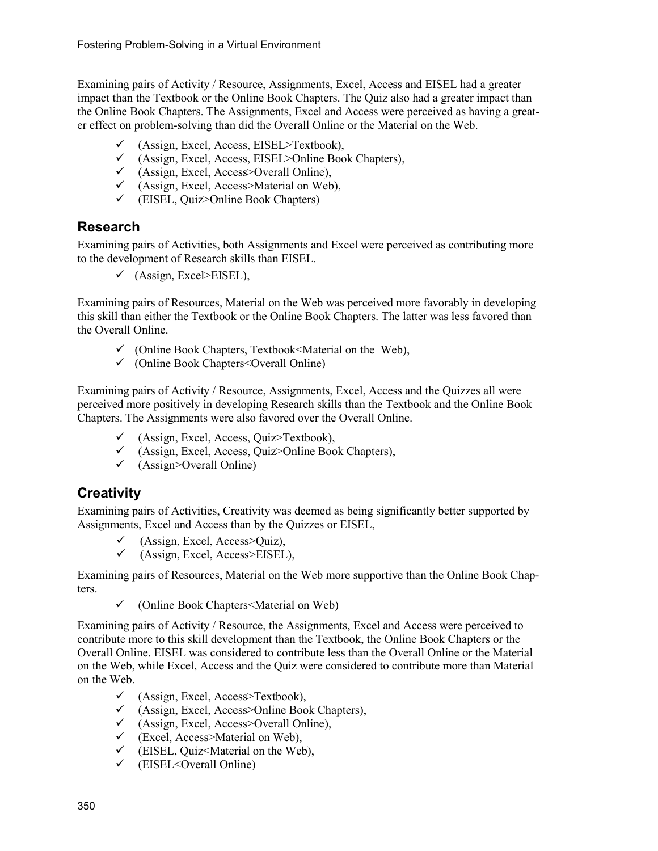Examining pairs of Activity / Resource, Assignments, Excel, Access and EISEL had a greater impact than the Textbook or the Online Book Chapters. The Quiz also had a greater impact than the Online Book Chapters. The Assignments, Excel and Access were perceived as having a greater effect on problem-solving than did the Overall Online or the Material on the Web.

- $\checkmark$  (Assign, Excel, Access, EISEL>Textbook),
- (Assign, Excel, Access, EISEL>Online Book Chapters),
- $\checkmark$  (Assign, Excel, Access>Overall Online),
- $\checkmark$  (Assign, Excel, Access>Material on Web),
- $\checkmark$  (EISEL, Quiz>Online Book Chapters)

### **Research**

Examining pairs of Activities, both Assignments and Excel were perceived as contributing more to the development of Research skills than EISEL.

 $\checkmark$  (Assign, Excel>EISEL),

Examining pairs of Resources, Material on the Web was perceived more favorably in developing this skill than either the Textbook or the Online Book Chapters. The latter was less favored than the Overall Online.

- $\checkmark$  (Online Book Chapters, Textbook *SM* aterial on the Web),
- $\checkmark$  (Online Book Chapters < Overall Online)

Examining pairs of Activity / Resource, Assignments, Excel, Access and the Quizzes all were perceived more positively in developing Research skills than the Textbook and the Online Book Chapters. The Assignments were also favored over the Overall Online.

- $\checkmark$  (Assign, Excel, Access, Quiz>Textbook),
- $\checkmark$  (Assign, Excel, Access, Quiz>Online Book Chapters),
- $\checkmark$  (Assign>Overall Online)

### **Creativity**

Examining pairs of Activities, Creativity was deemed as being significantly better supported by Assignments, Excel and Access than by the Quizzes or EISEL,

- $\checkmark$  (Assign, Excel, Access>Ouiz),
- $\checkmark$  (Assign, Excel, Access>EISEL),

Examining pairs of Resources, Material on the Web more supportive than the Online Book Chapters.

 $\checkmark$  (Online Book Chapters  $\checkmark$  Material on Web)

Examining pairs of Activity / Resource, the Assignments, Excel and Access were perceived to contribute more to this skill development than the Textbook, the Online Book Chapters or the Overall Online. EISEL was considered to contribute less than the Overall Online or the Material on the Web, while Excel, Access and the Quiz were considered to contribute more than Material on the Web.

- $\checkmark$  (Assign, Excel, Access>Textbook),
- $\checkmark$  (Assign, Excel, Access>Online Book Chapters),
- $\checkmark$  (Assign, Excel, Access>Overall Online),
- $\checkmark$  (Excel, Access>Material on Web),
- $\checkmark$  (EISEL, Quiz<Material on the Web),
- $\checkmark$  (EISEL<Overall Online)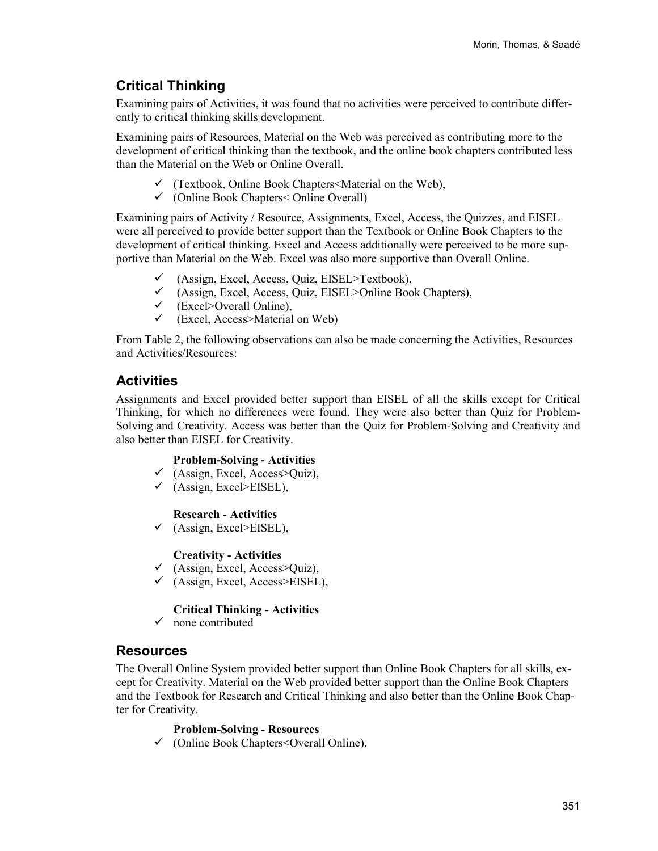### **Critical Thinking**

Examining pairs of Activities, it was found that no activities were perceived to contribute differently to critical thinking skills development.

Examining pairs of Resources, Material on the Web was perceived as contributing more to the development of critical thinking than the textbook, and the online book chapters contributed less than the Material on the Web or Online Overall.

- $\checkmark$  (Textbook, Online Book Chapters < Material on the Web),
- $\checkmark$  (Online Book Chapters < Online Overall)

Examining pairs of Activity / Resource, Assignments, Excel, Access, the Quizzes, and EISEL were all perceived to provide better support than the Textbook or Online Book Chapters to the development of critical thinking. Excel and Access additionally were perceived to be more supportive than Material on the Web. Excel was also more supportive than Overall Online.

- (Assign, Excel, Access, Quiz, EISEL>Textbook),
- $\checkmark$  (Assign, Excel, Access, Ouiz, EISEL>Online Book Chapters),
- $\checkmark$  (Excel>Overall Online),
- $\checkmark$  (Excel, Access>Material on Web)

From Table 2, the following observations can also be made concerning the Activities, Resources and Activities/Resources:

### **Activities**

Assignments and Excel provided better support than EISEL of all the skills except for Critical Thinking, for which no differences were found. They were also better than Quiz for Problem-Solving and Creativity. Access was better than the Quiz for Problem-Solving and Creativity and also better than EISEL for Creativity.

#### **Problem-Solving - Activities**

- $\checkmark$  (Assign, Excel, Access>Quiz),
- $\checkmark$  (Assign, Excel>EISEL),

#### **Research - Activities**

 $\checkmark$  (Assign, Excel>EISEL),

#### **Creativity - Activities**

- $\checkmark$  (Assign, Excel, Access>Quiz),
- $\checkmark$  (Assign, Excel, Access>EISEL),

#### **Critical Thinking - Activities**

 $\checkmark$  none contributed

### **Resources**

The Overall Online System provided better support than Online Book Chapters for all skills, except for Creativity. Material on the Web provided better support than the Online Book Chapters and the Textbook for Research and Critical Thinking and also better than the Online Book Chapter for Creativity.

#### **Problem-Solving - Resources**

 $\checkmark$  (Online Book Chapters < Overall Online),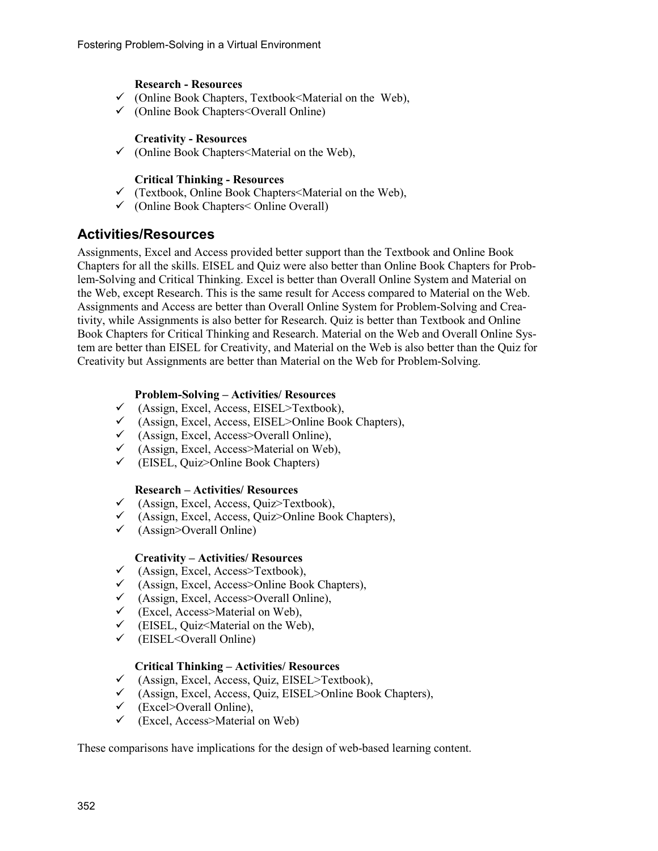#### **Research - Resources**

- $\checkmark$  (Online Book Chapters, Textbook *SM* aterial on the Web),
- $\checkmark$  (Online Book Chapters < Overall Online)

#### **Creativity - Resources**

 $\checkmark$  (Online Book Chapters  $\checkmark$  Material on the Web),

#### **Critical Thinking - Resources**

- $\checkmark$  (Textbook, Online Book Chapters < Material on the Web),
- $\checkmark$  (Online Book Chapters < Online Overall)

### **Activities/Resources**

Assignments, Excel and Access provided better support than the Textbook and Online Book Chapters for all the skills. EISEL and Quiz were also better than Online Book Chapters for Problem-Solving and Critical Thinking. Excel is better than Overall Online System and Material on the Web, except Research. This is the same result for Access compared to Material on the Web. Assignments and Access are better than Overall Online System for Problem-Solving and Creativity, while Assignments is also better for Research. Quiz is better than Textbook and Online Book Chapters for Critical Thinking and Research. Material on the Web and Overall Online System are better than EISEL for Creativity, and Material on the Web is also better than the Quiz for Creativity but Assignments are better than Material on the Web for Problem-Solving.

#### **Problem-Solving – Activities/ Resources**

- $\checkmark$  (Assign, Excel, Access, EISEL>Textbook),
- $\checkmark$  (Assign, Excel, Access, EISEL>Online Book Chapters),
- $\checkmark$  (Assign, Excel, Access>Overall Online),
- (Assign, Excel, Access>Material on Web),
- $\checkmark$  (EISEL, Ouiz>Online Book Chapters)

#### **Research – Activities/ Resources**

- $\checkmark$  (Assign, Excel, Access, Quiz>Textbook),
- $\checkmark$  (Assign, Excel, Access, Quiz>Online Book Chapters),
- $\checkmark$  (Assign>Overall Online)

#### **Creativity – Activities/ Resources**

- $\checkmark$  (Assign, Excel, Access>Textbook),<br> $\checkmark$  (Assign, Excel, Access>Online Boo
- $\checkmark$  (Assign, Excel, Access>Online Book Chapters),  $\checkmark$  (Assign Excel, Access>Overall Online).
- (Assign, Excel, Access>Overall Online),
- $\checkmark$  (Excel, Access>Material on Web),
- $\checkmark$  (EISEL, Quiz<Material on the Web),
- $\checkmark$  (EISEL<Overall Online)

#### **Critical Thinking – Activities/ Resources**

- $\checkmark$  (Assign, Excel, Access, Quiz, EISEL>Textbook),
- $\checkmark$  (Assign, Excel, Access, Quiz, EISEL>Online Book Chapters),
- $\checkmark$  (Excel>Overall Online),
- $\checkmark$  (Excel, Access>Material on Web)

These comparisons have implications for the design of web-based learning content.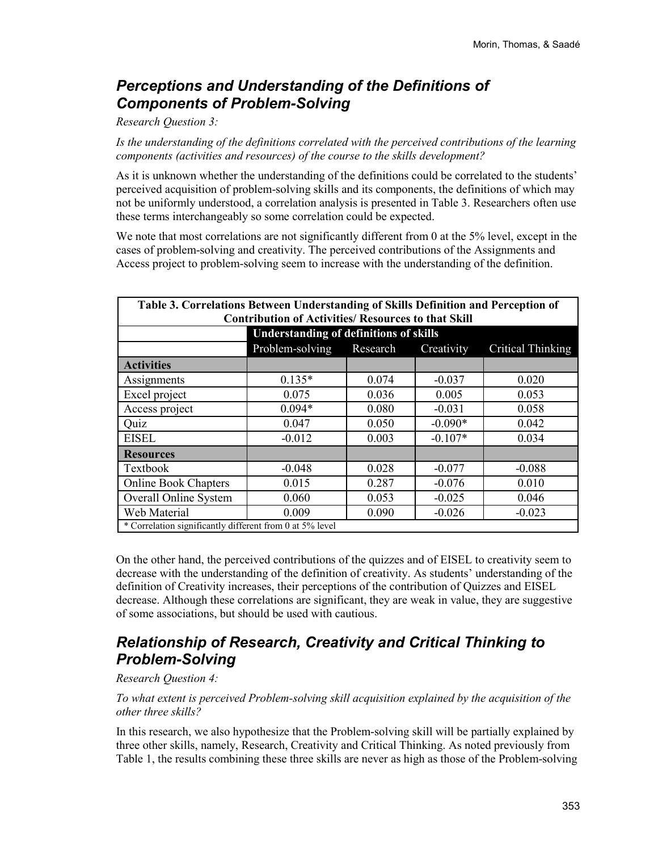## *Perceptions and Understanding of the Definitions of Components of Problem-Solving*

#### *Research Question 3:*

*Is the understanding of the definitions correlated with the perceived contributions of the learning components (activities and resources) of the course to the skills development?*

As it is unknown whether the understanding of the definitions could be correlated to the students' perceived acquisition of problem-solving skills and its components, the definitions of which may not be uniformly understood, a correlation analysis is presented in Table 3. Researchers often use these terms interchangeably so some correlation could be expected.

We note that most correlations are not significantly different from 0 at the 5% level, except in the cases of problem-solving and creativity. The perceived contributions of the Assignments and Access project to problem-solving seem to increase with the understanding of the definition.

| Table 3. Correlations Between Understanding of Skills Definition and Perception of<br><b>Contribution of Activities/ Resources to that Skill</b> |                                                                       |       |           |          |  |  |  |  |
|--------------------------------------------------------------------------------------------------------------------------------------------------|-----------------------------------------------------------------------|-------|-----------|----------|--|--|--|--|
| <b>Understanding of definitions of skills</b>                                                                                                    |                                                                       |       |           |          |  |  |  |  |
|                                                                                                                                                  | <b>Critical Thinking</b><br>Problem-solving<br>Research<br>Creativity |       |           |          |  |  |  |  |
| <b>Activities</b>                                                                                                                                |                                                                       |       |           |          |  |  |  |  |
| Assignments                                                                                                                                      | $0.135*$                                                              | 0.074 | $-0.037$  | 0.020    |  |  |  |  |
| Excel project                                                                                                                                    | 0.075                                                                 | 0.036 | 0.005     | 0.053    |  |  |  |  |
| Access project                                                                                                                                   | $0.094*$                                                              | 0.080 | $-0.031$  | 0.058    |  |  |  |  |
| Quiz                                                                                                                                             | 0.047                                                                 | 0.050 | $-0.090*$ | 0.042    |  |  |  |  |
| <b>EISEL</b>                                                                                                                                     | $-0.012$                                                              | 0.003 | $-0.107*$ | 0.034    |  |  |  |  |
| Resources                                                                                                                                        |                                                                       |       |           |          |  |  |  |  |
| Textbook                                                                                                                                         | $-0.048$                                                              | 0.028 | $-0.077$  | $-0.088$ |  |  |  |  |
| <b>Online Book Chapters</b>                                                                                                                      | 0.015                                                                 | 0.287 | $-0.076$  | 0.010    |  |  |  |  |
| Overall Online System                                                                                                                            | 0.060                                                                 | 0.053 | $-0.025$  | 0.046    |  |  |  |  |
| Web Material                                                                                                                                     | 0.009                                                                 | 0.090 | $-0.026$  | $-0.023$ |  |  |  |  |
| * Correlation significantly different from 0 at $\frac{1}{5\%}$ level                                                                            |                                                                       |       |           |          |  |  |  |  |

On the other hand, the perceived contributions of the quizzes and of EISEL to creativity seem to decrease with the understanding of the definition of creativity. As students' understanding of the definition of Creativity increases, their perceptions of the contribution of Quizzes and EISEL decrease. Although these correlations are significant, they are weak in value, they are suggestive of some associations, but should be used with cautious.

### *Relationship of Research, Creativity and Critical Thinking to Problem-Solving*

#### *Research Question 4:*

*To what extent is perceived Problem-solving skill acquisition explained by the acquisition of the other three skills?*

In this research, we also hypothesize that the Problem-solving skill will be partially explained by three other skills, namely, Research, Creativity and Critical Thinking. As noted previously from Table 1, the results combining these three skills are never as high as those of the Problem-solving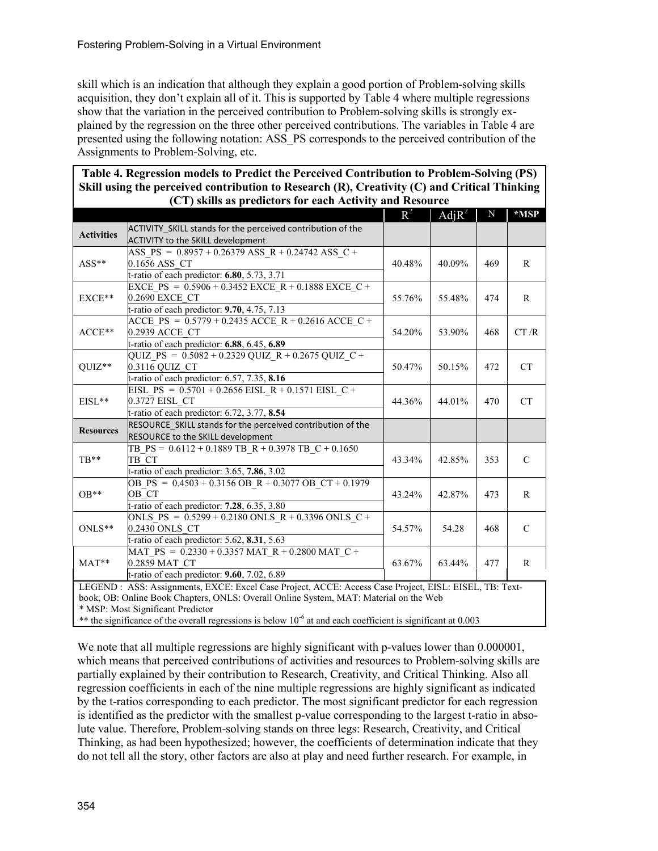skill which is an indication that although they explain a good portion of Problem-solving skills acquisition, they don't explain all of it. This is supported by Table 4 where multiple regressions show that the variation in the perceived contribution to Problem-solving skills is strongly explained by the regression on the three other perceived contributions. The variables in Table 4 are presented using the following notation: ASS\_PS corresponds to the perceived contribution of the Assignments to Problem-Solving, etc.

| Table 4. Regression models to Predict the Perceived Contribution to Problem-Solving (PS)          |  |                   |             |      |  |  |  |
|---------------------------------------------------------------------------------------------------|--|-------------------|-------------|------|--|--|--|
| Skill using the perceived contribution to Research $(R)$ , Creativity $(C)$ and Critical Thinking |  |                   |             |      |  |  |  |
| (CT) skills as predictors for each Activity and Resource                                          |  |                   |             |      |  |  |  |
|                                                                                                   |  | $R^2$   Adj $R^2$ | $\mathbf N$ | *MSP |  |  |  |
| ACTIVITY SKILL stands for the perceived contribution of the                                       |  |                   |             |      |  |  |  |

|                                                                                                                   |                                                             | $\mathbf{R}^{\pi}$ | $AdiR^2$ | IN. | *NISP         |  |  |
|-------------------------------------------------------------------------------------------------------------------|-------------------------------------------------------------|--------------------|----------|-----|---------------|--|--|
| <b>Activities</b>                                                                                                 | ACTIVITY_SKILL stands for the perceived contribution of the |                    |          |     |               |  |  |
|                                                                                                                   | ACTIVITY to the SKILL development                           |                    |          |     |               |  |  |
|                                                                                                                   | ASS PS = $0.8957 + 0.26379$ ASS R + 0.24742 ASS C +         |                    | 40.09%   | 469 | R             |  |  |
| $ASS**$                                                                                                           | 0.1656 ASS CT                                               | 40.48%             |          |     |               |  |  |
|                                                                                                                   | t-ratio of each predictor: $6.80$ , $5.73$ , $3.71$         |                    |          |     |               |  |  |
|                                                                                                                   | EXCE PS = $0.5906 + 0.3452$ EXCE R + $0.1888$ EXCE C +      |                    | 55.48%   | 474 | $\mathbb{R}$  |  |  |
| EXCE**                                                                                                            | 0.2690 EXCE CT                                              | 55.76%             |          |     |               |  |  |
|                                                                                                                   | t-ratio of each predictor: 9.70, 4.75, 7.13                 |                    |          |     |               |  |  |
|                                                                                                                   | ACCE PS = $0.5779 + 0.2435$ ACCE R + 0.2616 ACCE C +        |                    | 53.90%   | 468 | CT/R          |  |  |
| $ACCE**$                                                                                                          | 0.2939 ACCE CT                                              | 54.20%             |          |     |               |  |  |
|                                                                                                                   | t-ratio of each predictor: 6.88, 6.45, 6.89                 |                    |          |     |               |  |  |
|                                                                                                                   | QUIZ PS = $0.5082 + 0.2329$ QUIZ R + 0.2675 QUIZ C +        |                    | 50.15%   | 472 | <b>CT</b>     |  |  |
| QUIZ**                                                                                                            | 0.3116 QUIZ CT                                              | 50.47%             |          |     |               |  |  |
|                                                                                                                   | t-ratio of each predictor: 6.57, 7.35, 8.16                 |                    |          |     |               |  |  |
|                                                                                                                   | EISL PS = $0.5701 + 0.2656$ EISL R + 0.1571 EISL C +        |                    | 44.01%   | 470 |               |  |  |
| EISL**                                                                                                            | 0.3727 EISL CT                                              | 44.36%             |          |     | <b>CT</b>     |  |  |
|                                                                                                                   | t-ratio of each predictor: 6.72, 3.77, 8.54                 |                    |          |     |               |  |  |
| <b>Resources</b>                                                                                                  | RESOURCE SKILL stands for the perceived contribution of the |                    |          |     |               |  |  |
|                                                                                                                   | RESOURCE to the SKILL development                           |                    |          |     |               |  |  |
|                                                                                                                   | TB $PS = 0.6112 + 0.1889$ TB $R + 0.3978$ TB $C + 0.1650$   |                    | 42.85%   | 353 | $\mathcal{C}$ |  |  |
| TR**                                                                                                              | TB CT                                                       | 43.34%             |          |     |               |  |  |
|                                                                                                                   | t-ratio of each predictor: 3.65, 7.86, 3.02                 |                    |          |     |               |  |  |
|                                                                                                                   | OB PS = $0.4503 + 0.3156$ OB R + 0.3077 OB CT + 0.1979      |                    | 42.87%   | 473 | R             |  |  |
| $OB**$                                                                                                            | OB CT                                                       | 43.24%             |          |     |               |  |  |
|                                                                                                                   | t-ratio of each predictor: 7.28, 6.35, 3.80                 |                    |          |     |               |  |  |
|                                                                                                                   | ONLS PS = $0.5299 + 0.2180$ ONLS R + 0.3396 ONLS C +        |                    | 54.28    | 468 | $\mathcal{C}$ |  |  |
| ONLS**                                                                                                            | 0.2430 ONLS CT                                              | 54.57%             |          |     |               |  |  |
|                                                                                                                   | t-ratio of each predictor: 5.62, $8.3\overline{1, 5.63}$    |                    |          |     |               |  |  |
| $MAT**$                                                                                                           | MAT_PS = $0.2330 + 0.3357$ MAT_R + 0.2800 MAT_C +           |                    | 63.44%   | 477 | $\mathbf{R}$  |  |  |
|                                                                                                                   | 0.2859 MAT CT                                               | 63.67%             |          |     |               |  |  |
|                                                                                                                   | t-ratio of each predictor: $9.60$ , $7.02$ , $6.89$         |                    |          |     |               |  |  |
| LEGEND : ASS: Assignments, EXCE: Excel Case Project, ACCE: Access Case Project, EISL: EISEL, TB: Text-            |                                                             |                    |          |     |               |  |  |
| book, OB: Online Book Chapters, ONLS: Overall Online System, MAT: Material on the Web                             |                                                             |                    |          |     |               |  |  |
|                                                                                                                   | * MSP: Most Significant Predictor                           |                    |          |     |               |  |  |
| ** the significance of the overall regressions is below $10^{-6}$ at and each coefficient is significant at 0.003 |                                                             |                    |          |     |               |  |  |

We note that all multiple regressions are highly significant with p-values lower than 0.000001, which means that perceived contributions of activities and resources to Problem-solving skills are partially explained by their contribution to Research, Creativity, and Critical Thinking. Also all regression coefficients in each of the nine multiple regressions are highly significant as indicated by the t-ratios corresponding to each predictor. The most significant predictor for each regression is identified as the predictor with the smallest p-value corresponding to the largest t-ratio in absolute value. Therefore, Problem-solving stands on three legs: Research, Creativity, and Critical Thinking, as had been hypothesized; however, the coefficients of determination indicate that they do not tell all the story, other factors are also at play and need further research. For example, in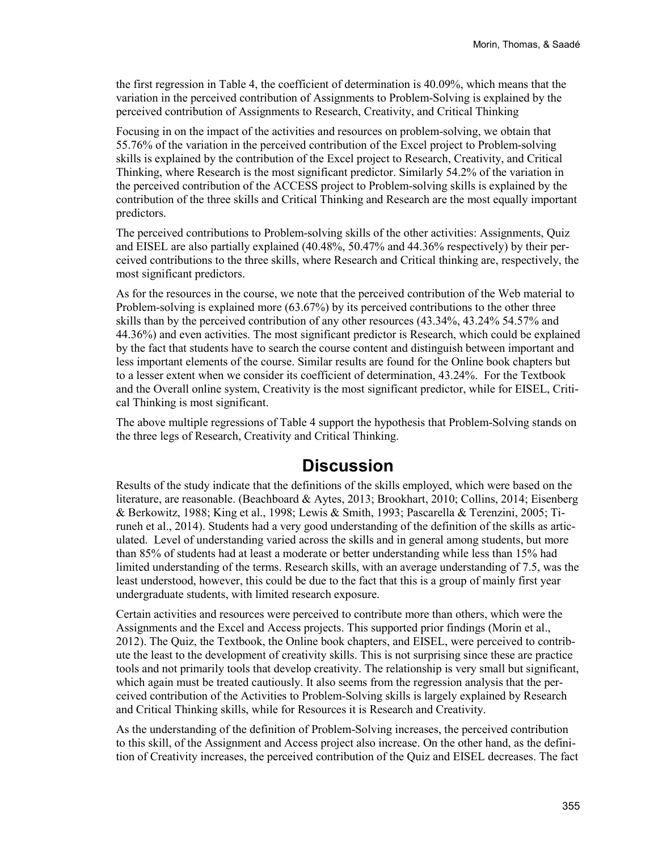the first regression in Table 4, the coefficient of determination is 40.09%, which means that the variation in the perceived contribution of Assignments to Problem-Solving is explained by the perceived contribution of Assignments to Research, Creativity, and Critical Thinking

Focusing in on the impact of the activities and resources on problem-solving, we obtain that 55.76% of the variation in the perceived contribution of the Excel project to Problem-solving skills is explained by the contribution of the Excel project to Research, Creativity, and Critical Thinking, where Research is the most significant predictor. Similarly 54.2% of the variation in the perceived contribution of the ACCESS project to Problem-solving skills is explained by the contribution of the three skills and Critical Thinking and Research are the most equally important predictors.

The perceived contributions to Problem-solving skills of the other activities: Assignments, Quiz and EISEL are also partially explained (40.48%, 50.47% and 44.36% respectively) by their perceived contributions to the three skills, where Research and Critical thinking are, respectively, the most significant predictors.

As for the resources in the course, we note that the perceived contribution of the Web material to Problem-solving is explained more (63.67%) by its perceived contributions to the other three skills than by the perceived contribution of any other resources (43.34%, 43.24% 54.57% and 44.36%) and even activities. The most significant predictor is Research, which could be explained by the fact that students have to search the course content and distinguish between important and less important elements of the course. Similar results are found for the Online book chapters but to a lesser extent when we consider its coefficient of determination, 43.24%. For the Textbook and the Overall online system, Creativity is the most significant predictor, while for EISEL, Critical Thinking is most significant.

The above multiple regressions of Table 4 support the hypothesis that Problem-Solving stands on the three legs of Research, Creativity and Critical Thinking.

## **Discussion**

Results of the study indicate that the definitions of the skills employed, which were based on the literature, are reasonable. (Beachboard & Aytes, 2013; Brookhart, 2010; Collins, 2014; Eisenberg & Berkowitz, 1988; King et al., 1998; Lewis & Smith, 1993; Pascarella & Terenzini, 2005; Tiruneh et al., 2014). Students had a very good understanding of the definition of the skills as articulated. Level of understanding varied across the skills and in general among students, but more than 85% of students had at least a moderate or better understanding while less than 15% had limited understanding of the terms. Research skills, with an average understanding of 7.5, was the least understood, however, this could be due to the fact that this is a group of mainly first year undergraduate students, with limited research exposure.

Certain activities and resources were perceived to contribute more than others, which were the Assignments and the Excel and Access projects. This supported prior findings (Morin et al., 2012). The Quiz, the Textbook, the Online book chapters, and EISEL, were perceived to contribute the least to the development of creativity skills. This is not surprising since these are practice tools and not primarily tools that develop creativity. The relationship is very small but significant, which again must be treated cautiously. It also seems from the regression analysis that the perceived contribution of the Activities to Problem-Solving skills is largely explained by Research and Critical Thinking skills, while for Resources it is Research and Creativity.

As the understanding of the definition of Problem-Solving increases, the perceived contribution to this skill, of the Assignment and Access project also increase. On the other hand, as the definition of Creativity increases, the perceived contribution of the Quiz and EISEL decreases. The fact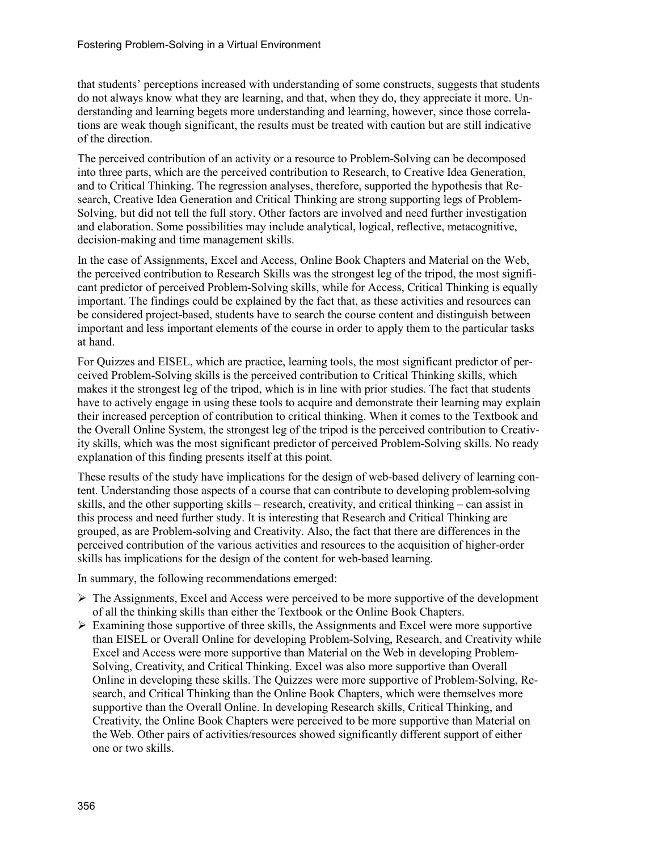that students' perceptions increased with understanding of some constructs, suggests that students do not always know what they are learning, and that, when they do, they appreciate it more. Understanding and learning begets more understanding and learning, however, since those correlations are weak though significant, the results must be treated with caution but are still indicative of the direction.

The perceived contribution of an activity or a resource to Problem-Solving can be decomposed into three parts, which are the perceived contribution to Research, to Creative Idea Generation, and to Critical Thinking. The regression analyses, therefore, supported the hypothesis that Research, Creative Idea Generation and Critical Thinking are strong supporting legs of Problem-Solving, but did not tell the full story. Other factors are involved and need further investigation and elaboration. Some possibilities may include analytical, logical, reflective, metacognitive, decision-making and time management skills.

In the case of Assignments, Excel and Access, Online Book Chapters and Material on the Web, the perceived contribution to Research Skills was the strongest leg of the tripod, the most significant predictor of perceived Problem-Solving skills, while for Access, Critical Thinking is equally important. The findings could be explained by the fact that, as these activities and resources can be considered project-based, students have to search the course content and distinguish between important and less important elements of the course in order to apply them to the particular tasks at hand.

For Quizzes and EISEL, which are practice, learning tools, the most significant predictor of perceived Problem-Solving skills is the perceived contribution to Critical Thinking skills, which makes it the strongest leg of the tripod, which is in line with prior studies. The fact that students have to actively engage in using these tools to acquire and demonstrate their learning may explain their increased perception of contribution to critical thinking. When it comes to the Textbook and the Overall Online System, the strongest leg of the tripod is the perceived contribution to Creativity skills, which was the most significant predictor of perceived Problem-Solving skills. No ready explanation of this finding presents itself at this point.

These results of the study have implications for the design of web-based delivery of learning content. Understanding those aspects of a course that can contribute to developing problem-solving skills, and the other supporting skills – research, creativity, and critical thinking – can assist in this process and need further study. It is interesting that Research and Critical Thinking are grouped, as are Problem-solving and Creativity. Also, the fact that there are differences in the perceived contribution of the various activities and resources to the acquisition of higher-order skills has implications for the design of the content for web-based learning.

In summary, the following recommendations emerged:

- $\triangleright$  The Assignments, Excel and Access were perceived to be more supportive of the development of all the thinking skills than either the Textbook or the Online Book Chapters.
- $\triangleright$  Examining those supportive of three skills, the Assignments and Excel were more supportive than EISEL or Overall Online for developing Problem-Solving, Research, and Creativity while Excel and Access were more supportive than Material on the Web in developing Problem-Solving, Creativity, and Critical Thinking. Excel was also more supportive than Overall Online in developing these skills. The Quizzes were more supportive of Problem-Solving, Research, and Critical Thinking than the Online Book Chapters, which were themselves more supportive than the Overall Online. In developing Research skills, Critical Thinking, and Creativity, the Online Book Chapters were perceived to be more supportive than Material on the Web. Other pairs of activities/resources showed significantly different support of either one or two skills.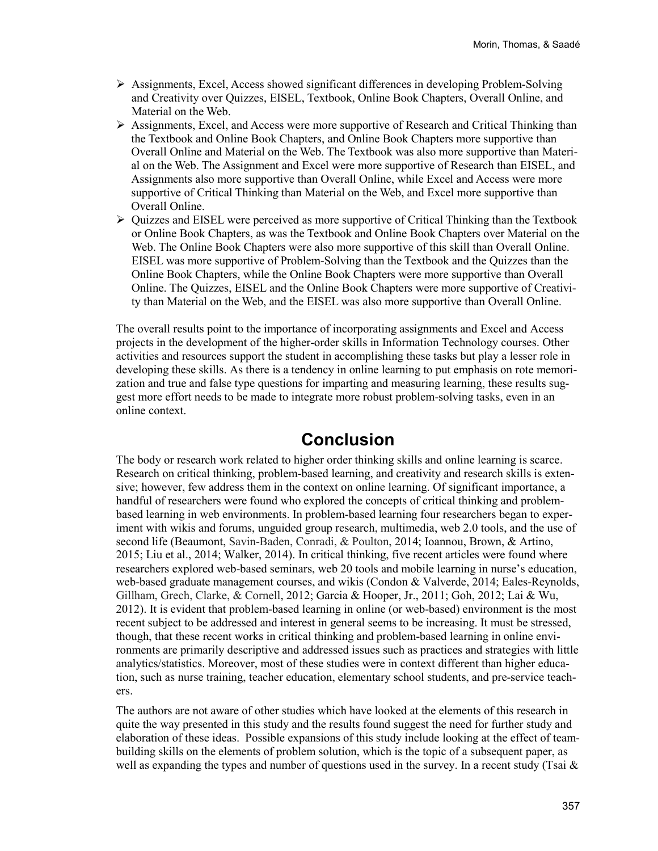- $\triangleright$  Assignments, Excel, Access showed significant differences in developing Problem-Solving and Creativity over Quizzes, EISEL, Textbook, Online Book Chapters, Overall Online, and Material on the Web.
- $\triangleright$  Assignments, Excel, and Access were more supportive of Research and Critical Thinking than the Textbook and Online Book Chapters, and Online Book Chapters more supportive than Overall Online and Material on the Web. The Textbook was also more supportive than Material on the Web. The Assignment and Excel were more supportive of Research than EISEL, and Assignments also more supportive than Overall Online, while Excel and Access were more supportive of Critical Thinking than Material on the Web, and Excel more supportive than Overall Online.
- $\triangleright$  Quizzes and EISEL were perceived as more supportive of Critical Thinking than the Textbook or Online Book Chapters, as was the Textbook and Online Book Chapters over Material on the Web. The Online Book Chapters were also more supportive of this skill than Overall Online. EISEL was more supportive of Problem-Solving than the Textbook and the Quizzes than the Online Book Chapters, while the Online Book Chapters were more supportive than Overall Online. The Quizzes, EISEL and the Online Book Chapters were more supportive of Creativity than Material on the Web, and the EISEL was also more supportive than Overall Online.

The overall results point to the importance of incorporating assignments and Excel and Access projects in the development of the higher-order skills in Information Technology courses. Other activities and resources support the student in accomplishing these tasks but play a lesser role in developing these skills. As there is a tendency in online learning to put emphasis on rote memorization and true and false type questions for imparting and measuring learning, these results suggest more effort needs to be made to integrate more robust problem-solving tasks, even in an online context.

## **Conclusion**

The body or research work related to higher order thinking skills and online learning is scarce. Research on critical thinking, problem-based learning, and creativity and research skills is extensive; however, few address them in the context on online learning. Of significant importance, a handful of researchers were found who explored the concepts of critical thinking and problembased learning in web environments. In problem-based learning four researchers began to experiment with wikis and forums, unguided group research, multimedia, web 2.0 tools, and the use of second life (Beaumont, Savin-Baden, Conradi, & Poulton, 2014; Ioannou, Brown, & Artino, 2015; Liu et al., 2014; Walker, 2014). In critical thinking, five recent articles were found where researchers explored web-based seminars, web 20 tools and mobile learning in nurse's education, web-based graduate management courses, and wikis (Condon & Valverde, 2014; Eales-Reynolds, Gillham, Grech, Clarke, & Cornell, 2012; Garcia & Hooper, Jr., 2011; Goh, 2012; Lai & Wu, 2012). It is evident that problem-based learning in online (or web-based) environment is the most recent subject to be addressed and interest in general seems to be increasing. It must be stressed, though, that these recent works in critical thinking and problem-based learning in online environments are primarily descriptive and addressed issues such as practices and strategies with little analytics/statistics. Moreover, most of these studies were in context different than higher education, such as nurse training, teacher education, elementary school students, and pre-service teachers.

The authors are not aware of other studies which have looked at the elements of this research in quite the way presented in this study and the results found suggest the need for further study and elaboration of these ideas. Possible expansions of this study include looking at the effect of teambuilding skills on the elements of problem solution, which is the topic of a subsequent paper, as well as expanding the types and number of questions used in the survey. In a recent study (Tsai  $\&$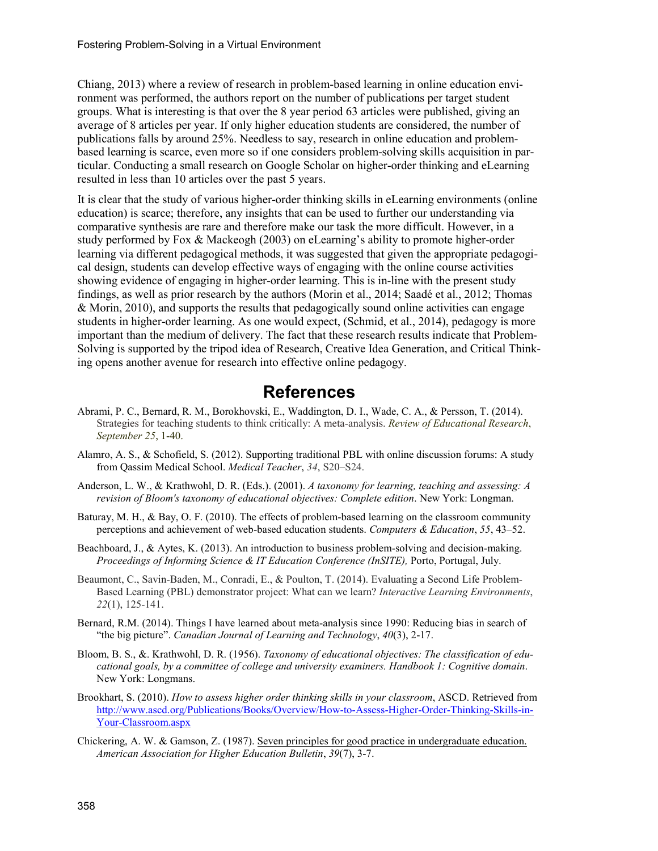Chiang, 2013) where a review of research in problem-based learning in online education environment was performed, the authors report on the number of publications per target student groups. What is interesting is that over the 8 year period 63 articles were published, giving an average of 8 articles per year. If only higher education students are considered, the number of publications falls by around 25%. Needless to say, research in online education and problembased learning is scarce, even more so if one considers problem-solving skills acquisition in particular. Conducting a small research on Google Scholar on higher-order thinking and eLearning resulted in less than 10 articles over the past 5 years.

It is clear that the study of various higher-order thinking skills in eLearning environments (online education) is scarce; therefore, any insights that can be used to further our understanding via comparative synthesis are rare and therefore make our task the more difficult. However, in a study performed by Fox & Mackeogh (2003) on eLearning's ability to promote higher-order learning via different pedagogical methods, it was suggested that given the appropriate pedagogical design, students can develop effective ways of engaging with the online course activities showing evidence of engaging in higher-order learning. This is in-line with the present study findings, as well as prior research by the authors (Morin et al., 2014; Saadé et al., 2012; Thomas & Morin, 2010), and supports the results that pedagogically sound online activities can engage students in higher-order learning. As one would expect, (Schmid, et al., 2014), pedagogy is more important than the medium of delivery. The fact that these research results indicate that Problem-Solving is supported by the tripod idea of Research, Creative Idea Generation, and Critical Thinking opens another avenue for research into effective online pedagogy.

## **References**

- Abrami, P. C., Bernard, R. M., Borokhovski, E., Waddington, D. I., Wade, C. A., & Persson, T. (2014). Strategies for teaching students to think critically: A meta-analysis. *Review of Educational Research*, *September 25*, 1-40.
- Alamro, A. S., & Schofield, S. (2012). Supporting traditional PBL with online discussion forums: A study from Qassim Medical School. *Medical Teacher*, *34*, S20–S24.
- Anderson, L. W., & Krathwohl, D. R. (Eds.). (2001). *A taxonomy for learning, teaching and assessing: A revision of Bloom's taxonomy of educational objectives: Complete edition*. New York: Longman.
- Baturay, M. H., & Bay, O. F. (2010). The effects of problem-based learning on the classroom community perceptions and achievement of web-based education students. *Computers & Education*, *55*, 43–52.
- Beachboard, J., & Aytes, K. (2013). An introduction to business problem-solving and decision-making. *Proceedings of Informing Science & IT Education Conference (InSITE),* Porto, Portugal, July.
- Beaumont, C., Savin-Baden, M., Conradi, E., & Poulton, T. (2014). Evaluating a Second Life Problem-Based Learning (PBL) demonstrator project: What can we learn? *Interactive Learning Environments*, *22*(1), 125-141.
- Bernard, R.M. (2014). Things I have learned about meta-analysis since 1990: Reducing bias in search of "the big picture". *Canadian Journal of Learning and Technology*, *40*(3), 2-17.
- Bloom, B. S., &. Krathwohl, D. R. (1956). *Taxonomy of educational objectives: The classification of educational goals, by a committee of college and university examiners. Handbook 1: Cognitive domain*. New York: Longmans.
- Brookhart, S. (2010). *How to assess higher order thinking skills in your classroom*, ASCD. Retrieved from [http://www.ascd.org/Publications/Books/Overview/How-to-Assess-Higher-Order-Thinking-Skills-in-](http://www.ascd.org/Publications/Books/Overview/How-to-Assess-Higher-Order-Thinking-Skills-in-Your-Classroom.aspx)[Your-Classroom.aspx](http://www.ascd.org/Publications/Books/Overview/How-to-Assess-Higher-Order-Thinking-Skills-in-Your-Classroom.aspx)
- Chickering, A. W. & Gamson, Z. (1987). [Seven principles for good practice in undergraduate education.](http://www.johnsonfdn.org/Publications/ConferenceReports/SevenPrinciples/SevenPrinciples_pdf.pdf) *American Association for Higher Education Bulletin*, *39*(7), 3-7.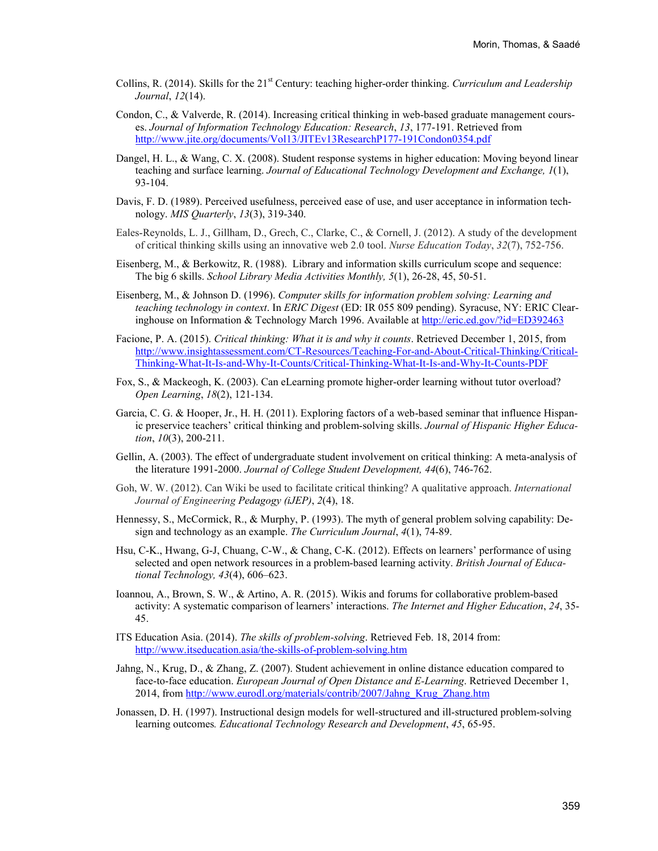- Collins, R. (2014). Skills for the 21<sup>st</sup> Century: teaching higher-order thinking. *Curriculum and Leadership Journal*, *12*(14).
- Condon, C., & Valverde, R. (2014). Increasing critical thinking in web-based graduate management courses. *Journal of Information Technology Education: Research*, *13*, 177-191. Retrieved from <http://www.jite.org/documents/Vol13/JITEv13ResearchP177-191Condon0354.pdf>
- Dangel, H. L., & Wang, C. X. (2008). Student response systems in higher education: Moving beyond linear teaching and surface learning. *Journal of Educational Technology Development and Exchange, 1*(1), 93-104.
- Davis, F. D. (1989). Perceived usefulness, perceived ease of use, and user acceptance in information technology. *MIS Quarterly*, *13*(3), 319-340.
- Eales-Reynolds, L. J., Gillham, D., Grech, C., Clarke, C., & Cornell, J. (2012). A study of the development of critical thinking skills using an innovative web 2.0 tool. *Nurse Education Today*, *32*(7), 752-756.
- Eisenberg, M., & Berkowitz, R. (1988). Library and information skills curriculum scope and sequence: The big 6 skills. *School Library Media Activities Monthly, 5*(1), 26-28, 45, 50-51.
- Eisenberg, M., & Johnson D. (1996). *Computer skills for information problem solving: Learning and teaching technology in context*. In *ERIC Digest* (ED: IR 055 809 pending). Syracuse, NY: ERIC Clearinghouse on Information & Technology March 1996. Available a[t http://eric.ed.gov/?id=ED392463](http://eric.ed.gov/?id=ED392463)
- Facione, P. A. (2015). *Critical thinking: What it is and why it counts*. Retrieved December 1, 2015, from [http://www.insightassessment.com/CT-Resources/Teaching-For-and-About-Critical-Thinking/Critical-](http://www.insightassessment.com/CT-Resources/Teaching-For-and-About-Critical-Thinking/Critical-Thinking-What-It-Is-and-Why-It-Counts/Critical-Thinking-What-It-Is-and-Why-It-Counts-PDF)[Thinking-What-It-Is-and-Why-It-Counts/Critical-Thinking-What-It-Is-and-Why-It-Counts-PDF](http://www.insightassessment.com/CT-Resources/Teaching-For-and-About-Critical-Thinking/Critical-Thinking-What-It-Is-and-Why-It-Counts/Critical-Thinking-What-It-Is-and-Why-It-Counts-PDF)
- Fox, S., & Mackeogh, K. (2003). Can eLearning promote higher-order learning without tutor overload? *Open Learning*, *18*(2), 121-134.
- Garcia, C. G. & Hooper, Jr., H. H. (2011). Exploring factors of a web-based seminar that influence Hispanic preservice teachers' critical thinking and problem-solving skills. *Journal of Hispanic Higher Education*, *10*(3), 200-211.
- Gellin, A. (2003). The effect of undergraduate student involvement on critical thinking: A meta-analysis of the literature 1991-2000. *Journal of College Student Development, 44*(6), 746-762.
- Goh, W. W. (2012). Can Wiki be used to facilitate critical thinking? A qualitative approach. *International Journal of Engineering Pedagogy (iJEP)*, *2*(4), 18.
- Hennessy, S., McCormick, R., & Murphy, P. (1993). The myth of general problem solving capability: Design and technology as an example. *The Curriculum Journal*, *4*(1), 74-89.
- Hsu, C-K., Hwang, G-J, Chuang, C-W., & Chang, C-K. (2012). Effects on learners' performance of using selected and open network resources in a problem-based learning activity. *British Journal of Educational Technology, 43*(4), 606–623.
- Ioannou, A., Brown, S. W., & Artino, A. R. (2015). Wikis and forums for collaborative problem-based activity: A systematic comparison of learners' interactions. *The Internet and Higher Education*, *24*, 35- 45.
- ITS Education Asia. (2014). *The skills of problem-solving*. Retrieved Feb. 18, 2014 from: <http://www.itseducation.asia/the-skills-of-problem-solving.htm>
- Jahng, N., Krug, D., & Zhang, Z. (2007). Student achievement in online distance education compared to face-to-face education. *European Journal of Open Distance and E-Learning*. Retrieved December 1, 2014, from [http://www.eurodl.org/materials/contrib/2007/Jahng\\_Krug\\_Zhang.htm](http://www.eurodl.org/materials/contrib/2007/Jahng_Krug_Zhang.htm)
- Jonassen, D. H. (1997). Instructional design models for well-structured and ill-structured problem-solving learning outcomes*. Educational Technology Research and Development*, *45*, 65-95.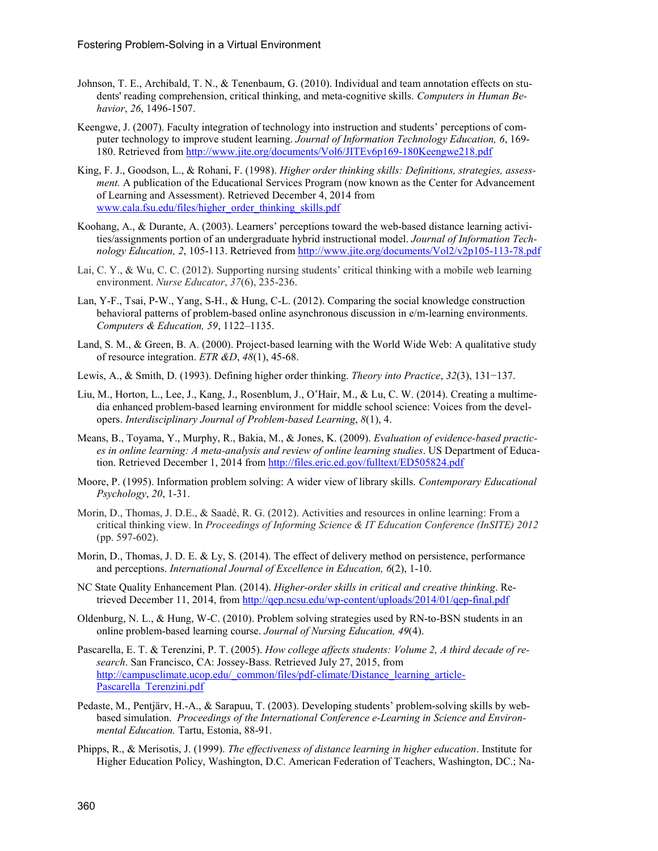- Johnson, T. E., Archibald, T. N., & Tenenbaum, G. (2010). Individual and team annotation effects on students' reading comprehension, critical thinking, and meta-cognitive skills. *Computers in Human Behavior*, *26*, 1496-1507.
- Keengwe, J. (2007). Faculty integration of technology into instruction and students' perceptions of computer technology to improve student learning. *Journal of Information Technology Education, 6*, 169- 180. Retrieved from<http://www.jite.org/documents/Vol6/JITEv6p169-180Keengwe218.pdf>
- King, F. J., Goodson, L., & Rohani, F. (1998). *Higher order thinking skills: Definitions, strategies, assessment.* A publication of the Educational Services Program (now known as the Center for Advancement of Learning and Assessment). Retrieved December 4, 2014 from [www.cala.fsu.edu/files/higher\\_order\\_thinking\\_skills.pdf](http://www.cala.fsu.edu/files/higher_order_thinking_skills.pdf)
- Koohang, A., & Durante, A. (2003). Learners' perceptions toward the web-based distance learning activities/assignments portion of an undergraduate hybrid instructional model. *Journal of Information Technology Education, 2*, 105-113. Retrieved from<http://www.jite.org/documents/Vol2/v2p105-113-78.pdf>
- Lai, C. Y., & Wu, C. C. (2012). Supporting nursing students' critical thinking with a mobile web learning environment. *Nurse Educator*, *37*(6), 235-236.
- Lan, Y-F., Tsai, P-W., Yang, S-H., & Hung, C-L. (2012). Comparing the social knowledge construction behavioral patterns of problem-based online asynchronous discussion in e/m-learning environments. *Computers & Education, 59*, 1122–1135.
- Land, S. M., & Green, B. A. (2000). Project-based learning with the World Wide Web: A qualitative study of resource integration. *ETR &D*, *48*(1), 45-68.
- Lewis, A., & Smith, D. (1993). Defining higher order thinking. *Theory into Practice*, *32*(3), 131−137.
- Liu, M., Horton, L., Lee, J., Kang, J., Rosenblum, J., O'Hair, M., & Lu, C. W. (2014). Creating a multimedia enhanced problem-based learning environment for middle school science: Voices from the developers. *Interdisciplinary Journal of Problem-based Learning*, *8*(1), 4.
- Means, B., Toyama, Y., Murphy, R., Bakia, M., & Jones, K. (2009). *Evaluation of evidence-based practices in online learning: A meta-analysis and review of online learning studies*. US Department of Education. Retrieved December 1, 2014 from<http://files.eric.ed.gov/fulltext/ED505824.pdf>
- Moore, P. (1995). Information problem solving: A wider view of library skills. *Contemporary Educational Psychology*, *20*, 1-31.
- Morin, D., Thomas, J. D.E., & Saadé, R. G. (2012). Activities and resources in online learning: From a critical thinking view. In *Proceedings of Informing Science & IT Education Conference (InSITE) 2012* (pp. 597-602).
- Morin, D., Thomas, J. D. E. & Ly, S. (2014). The effect of delivery method on persistence, performance and perceptions. *International Journal of Excellence in Education, 6*(2), 1-10.
- NC State Quality Enhancement Plan. (2014). *Higher-order skills in critical and creative thinking*. Retrieved December 11, 2014, from<http://qep.ncsu.edu/wp-content/uploads/2014/01/qep-final.pdf>
- Oldenburg, N. L., & Hung, W-C. (2010). Problem solving strategies used by RN-to-BSN students in an online problem-based learning course. *Journal of Nursing Education, 49*(4).
- Pascarella, E. T. & Terenzini, P. T. (2005). *How college affects students: Volume 2, A third decade of research*. San Francisco, CA: Jossey-Bass. Retrieved July 27, 2015, from [http://campusclimate.ucop.edu/\\_common/files/pdf-climate/Distance\\_learning\\_article-](http://campusclimate.ucop.edu/_common/files/pdf-climate/Distance_learning_article-Pascarella_Terenzini.pdf)[Pascarella\\_Terenzini.pdf](http://campusclimate.ucop.edu/_common/files/pdf-climate/Distance_learning_article-Pascarella_Terenzini.pdf)
- Pedaste, M., Pentjärv, H.-A., & Sarapuu, T. (2003). Developing students' problem-solving skills by webbased simulation. *Proceedings of the International Conference e-Learning in Science and Environmental Education.* Tartu, Estonia, 88-91.
- Phipps, R., & Merisotis, J. (1999). *The effectiveness of distance learning in higher education*. Institute for Higher Education Policy, Washington, D.C. American Federation of Teachers, Washington, DC.; Na-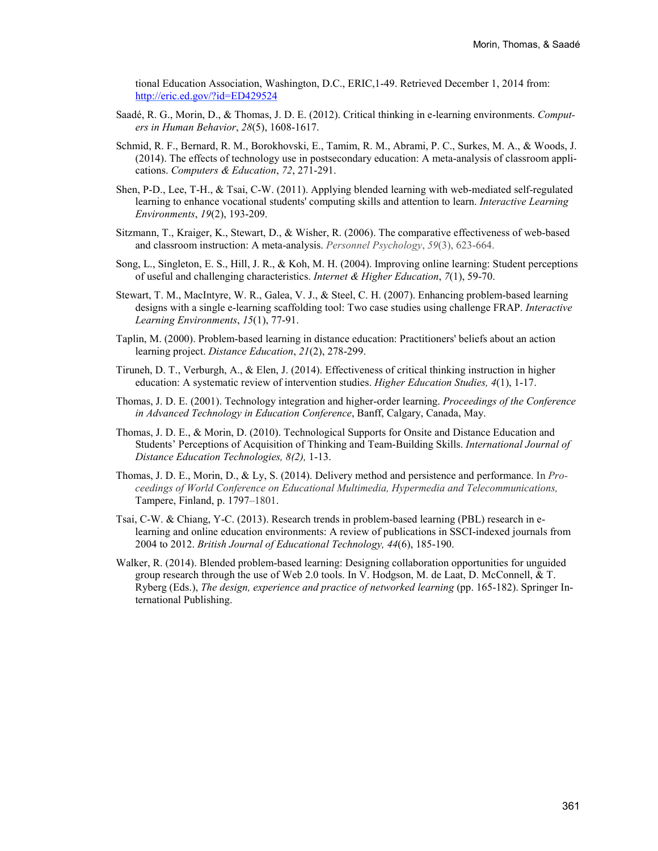tional Education Association, Washington, D.C., ERIC,1-49. Retrieved December 1, 2014 from: <http://eric.ed.gov/?id=ED429524>

- Saadé, R. G., Morin, D., & Thomas, J. D. E. (2012). Critical thinking in e-learning environments. *Computers in Human Behavior*, *28*(5), 1608-1617.
- Schmid, R. F., Bernard, R. M., Borokhovski, E., Tamim, R. M., Abrami, P. C., Surkes, M. A., & Woods, J. (2014). The effects of technology use in postsecondary education: A meta-analysis of classroom applications. *Computers & Education*, *72*, 271-291.
- Shen, P-D., Lee, T-H., & Tsai, C-W. (2011). Applying blended learning with web-mediated self-regulated learning to enhance vocational students' computing skills and attention to learn. *Interactive Learning Environments*, *19*(2), 193-209.
- Sitzmann, T., Kraiger, K., Stewart, D., & Wisher, R. (2006). The comparative effectiveness of web-based and classroom instruction: A meta-analysis. *Personnel Psychology*, *59*(3), 623-664.
- Song, L., Singleton, E. S., Hill, J. R., & Koh, M. H. (2004). Improving online learning: Student perceptions of useful and challenging characteristics. *Internet & Higher Education*, *7*(1), 59-70.
- Stewart, T. M., MacIntyre, W. R., Galea, V. J., & Steel, C. H. (2007). Enhancing problem-based learning designs with a single e-learning scaffolding tool: Two case studies using challenge FRAP. *Interactive Learning Environments*, *15*(1), 77-91.
- Taplin, M. (2000). Problem-based learning in distance education: Practitioners' beliefs about an action learning project. *Distance Education*, *21*(2), 278-299.
- Tiruneh, D. T., Verburgh, A., & Elen, J. (2014). Effectiveness of critical thinking instruction in higher education: A systematic review of intervention studies. *Higher Education Studies, 4*(1), 1-17.
- Thomas, J. D. E. (2001). Technology integration and higher-order learning. *Proceedings of the Conference in Advanced Technology in Education Conference*, Banff, Calgary, Canada, May.
- Thomas, J. D. E., & Morin, D. (2010). Technological Supports for Onsite and Distance Education and Students' Perceptions of Acquisition of Thinking and Team-Building Skills. *International Journal of Distance Education Technologies, 8(2),* 1-13.
- Thomas, J. D. E., Morin, D., & Ly, S. (2014). Delivery method and persistence and performance. In *Proceedings of World Conference on Educational Multimedia, Hypermedia and Telecommunications,*  Tampere, Finland, p. 1797–1801.
- Tsai, C-W. & Chiang, Y-C. (2013). Research trends in problem-based learning (PBL) research in elearning and online education environments: A review of publications in SSCI-indexed journals from 2004 to 2012. *British Journal of Educational Technology, 44*(6), 185-190.
- Walker, R. (2014). Blended problem-based learning: Designing collaboration opportunities for unguided group research through the use of Web 2.0 tools. In V. Hodgson, M. de Laat, D. McConnell, & T. Ryberg (Eds.), *The design, experience and practice of networked learning* (pp. 165-182). Springer International Publishing.